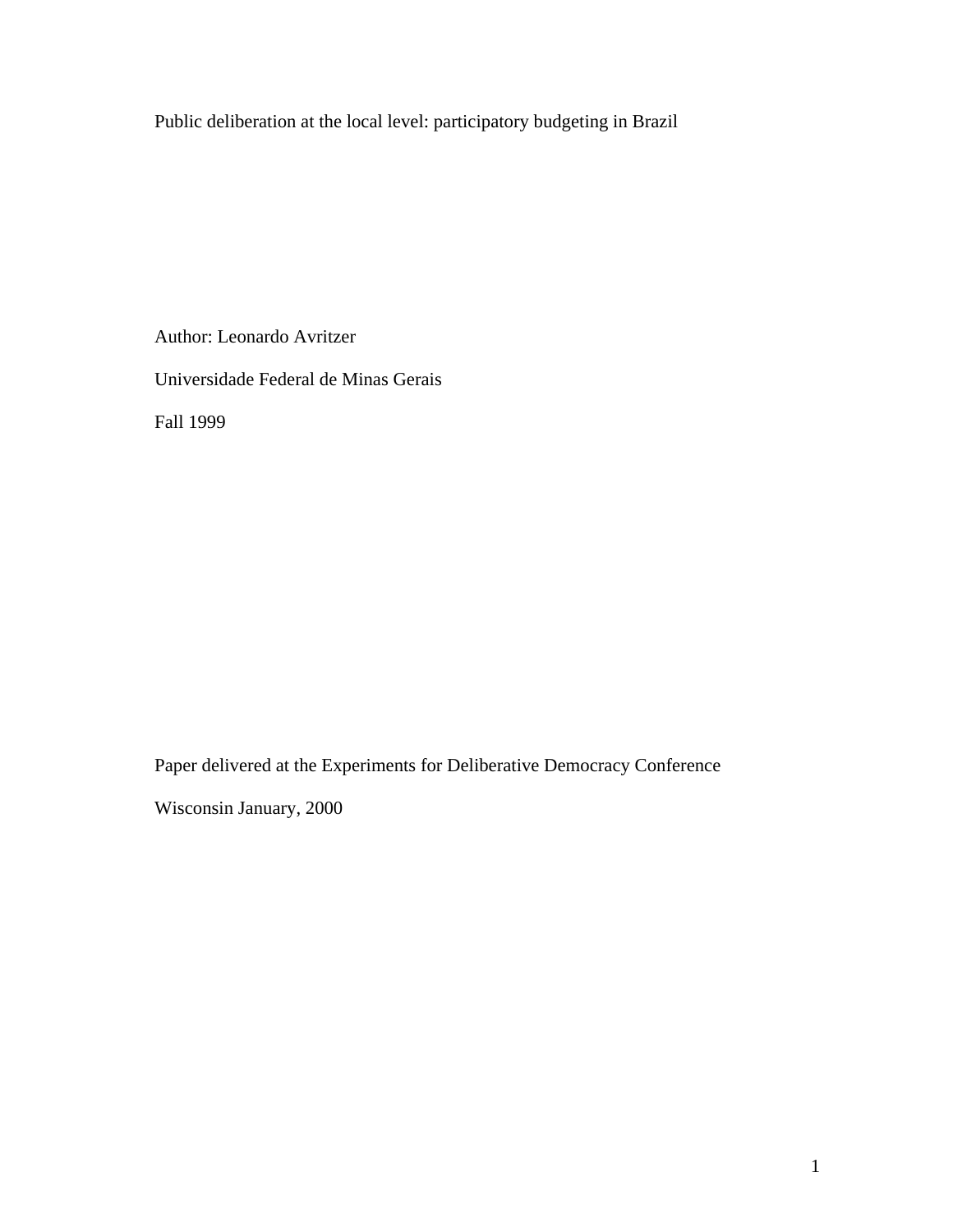Public deliberation at the local level: participatory budgeting in Brazil

Author: Leonardo Avritzer Universidade Federal de Minas Gerais Fall 1999

Paper delivered at the Experiments for Deliberative Democracy Conference

Wisconsin January, 2000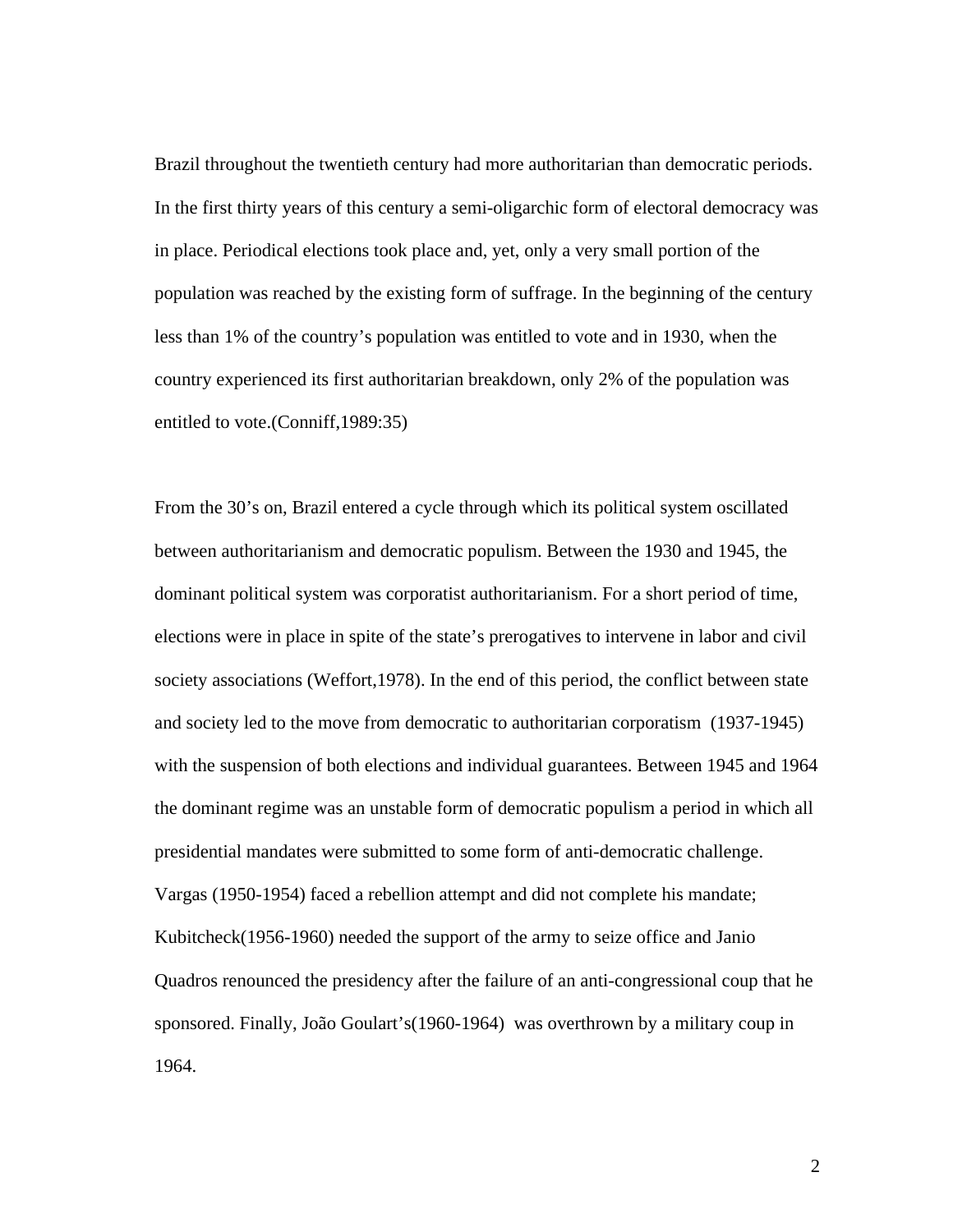Brazil throughout the twentieth century had more authoritarian than democratic periods. In the first thirty years of this century a semi-oligarchic form of electoral democracy was in place. Periodical elections took place and, yet, only a very small portion of the population was reached by the existing form of suffrage. In the beginning of the century less than 1% of the country's population was entitled to vote and in 1930, when the country experienced its first authoritarian breakdown, only 2% of the population was entitled to vote.(Conniff,1989:35)

From the 30's on, Brazil entered a cycle through which its political system oscillated between authoritarianism and democratic populism. Between the 1930 and 1945, the dominant political system was corporatist authoritarianism. For a short period of time, elections were in place in spite of the state's prerogatives to intervene in labor and civil society associations (Weffort,1978). In the end of this period, the conflict between state and society led to the move from democratic to authoritarian corporatism (1937-1945) with the suspension of both elections and individual guarantees. Between 1945 and 1964 the dominant regime was an unstable form of democratic populism a period in which all presidential mandates were submitted to some form of anti-democratic challenge. Vargas (1950-1954) faced a rebellion attempt and did not complete his mandate; Kubitcheck(1956-1960) needed the support of the army to seize office and Janio Quadros renounced the presidency after the failure of an anti-congressional coup that he sponsored. Finally, João Goulart's(1960-1964) was overthrown by a military coup in 1964.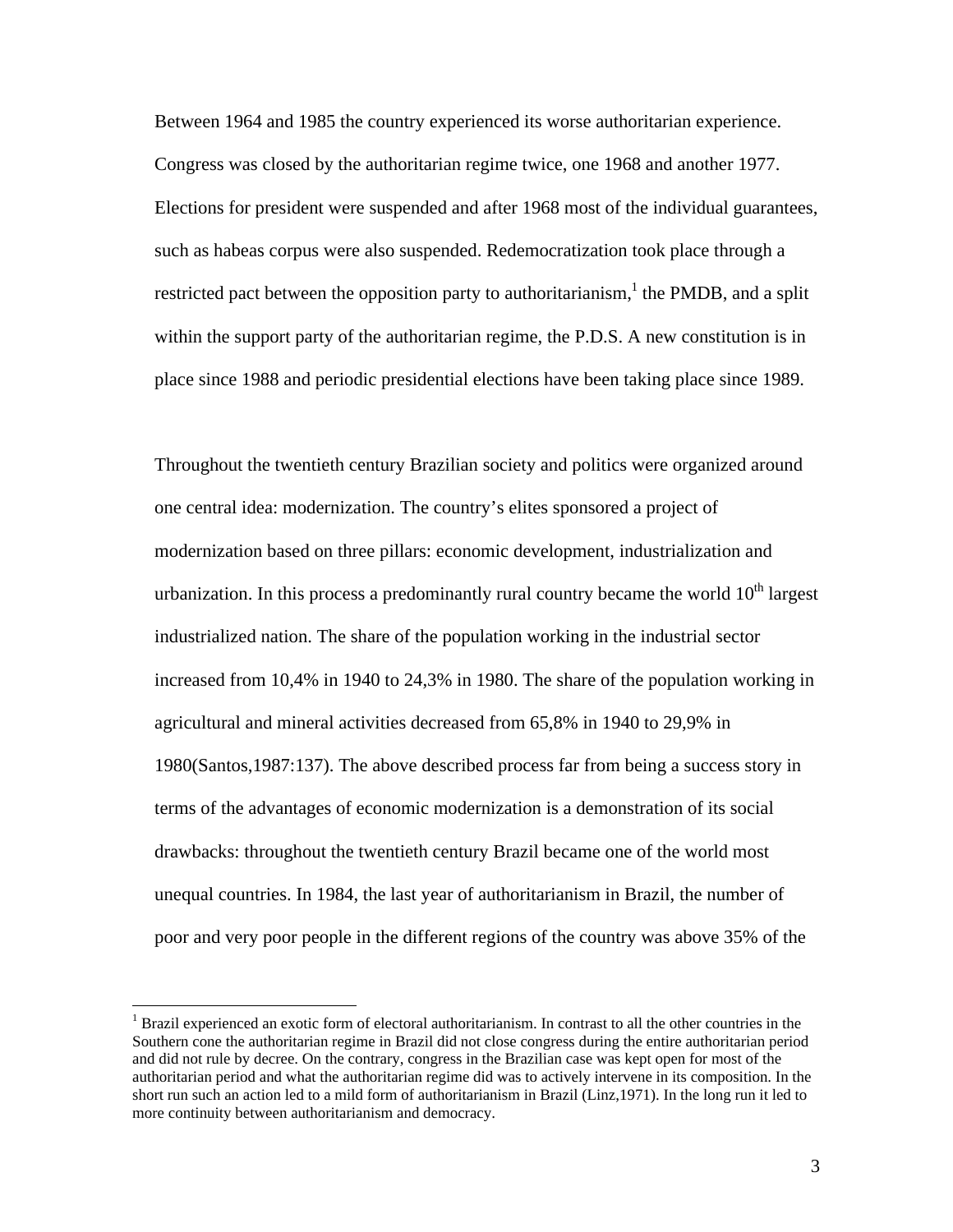Between 1964 and 1985 the country experienced its worse authoritarian experience. Congress was closed by the authoritarian regime twice, one 1968 and another 1977. Elections for president were suspended and after 1968 most of the individual guarantees, such as habeas corpus were also suspended. Redemocratization took place through a restricted pact between the opposition party to authoritarianism,  $\lambda$  the PMDB, and a split within the support party of the authoritarian regime, the P.D.S. A new constitution is in place since 1988 and periodic presidential elections have been taking place since 1989.

Throughout the twentieth century Brazilian society and politics were organized around one central idea: modernization. The country's elites sponsored a project of modernization based on three pillars: economic development, industrialization and urbanization. In this process a predominantly rural country became the world  $10<sup>th</sup>$  largest industrialized nation. The share of the population working in the industrial sector increased from 10,4% in 1940 to 24,3% in 1980. The share of the population working in agricultural and mineral activities decreased from 65,8% in 1940 to 29,9% in 1980(Santos,1987:137). The above described process far from being a success story in terms of the advantages of economic modernization is a demonstration of its social drawbacks: throughout the twentieth century Brazil became one of the world most unequal countries. In 1984, the last year of authoritarianism in Brazil, the number of poor and very poor people in the different regions of the country was above 35% of the

<sup>&</sup>lt;sup>1</sup> Brazil experienced an exotic form of electoral authoritarianism. In contrast to all the other countries in the Southern cone the authoritarian regime in Brazil did not close congress during the entire authoritarian period and did not rule by decree. On the contrary, congress in the Brazilian case was kept open for most of the authoritarian period and what the authoritarian regime did was to actively intervene in its composition. In the short run such an action led to a mild form of authoritarianism in Brazil (Linz,1971). In the long run it led to more continuity between authoritarianism and democracy.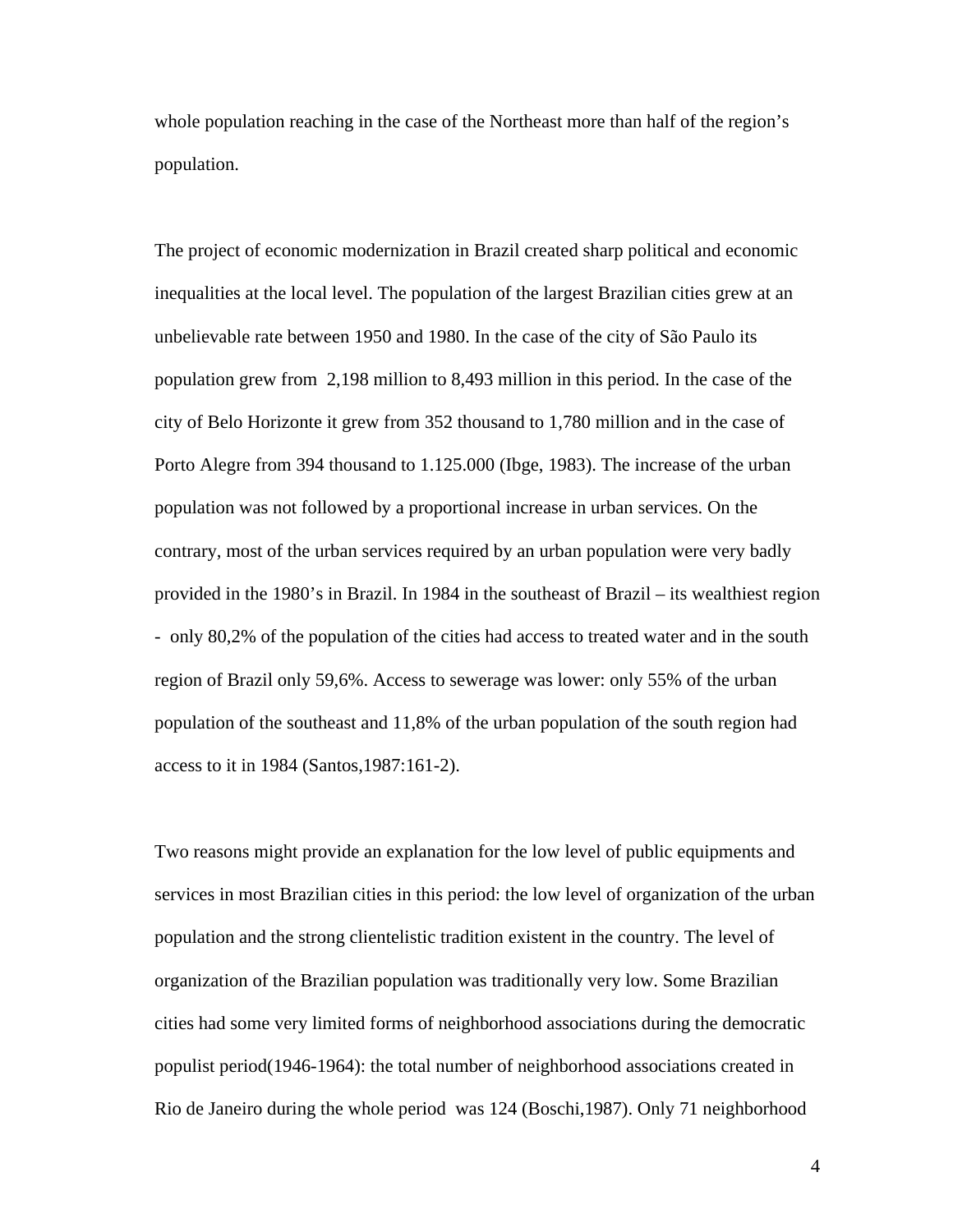whole population reaching in the case of the Northeast more than half of the region's population.

The project of economic modernization in Brazil created sharp political and economic inequalities at the local level. The population of the largest Brazilian cities grew at an unbelievable rate between 1950 and 1980. In the case of the city of São Paulo its population grew from 2,198 million to 8,493 million in this period. In the case of the city of Belo Horizonte it grew from 352 thousand to 1,780 million and in the case of Porto Alegre from 394 thousand to 1.125.000 (Ibge, 1983). The increase of the urban population was not followed by a proportional increase in urban services. On the contrary, most of the urban services required by an urban population were very badly provided in the 1980's in Brazil. In 1984 in the southeast of Brazil – its wealthiest region - only 80,2% of the population of the cities had access to treated water and in the south region of Brazil only 59,6%. Access to sewerage was lower: only 55% of the urban population of the southeast and 11,8% of the urban population of the south region had access to it in 1984 (Santos,1987:161-2).

Two reasons might provide an explanation for the low level of public equipments and services in most Brazilian cities in this period: the low level of organization of the urban population and the strong clientelistic tradition existent in the country. The level of organization of the Brazilian population was traditionally very low. Some Brazilian cities had some very limited forms of neighborhood associations during the democratic populist period(1946-1964): the total number of neighborhood associations created in Rio de Janeiro during the whole period was 124 (Boschi,1987). Only 71 neighborhood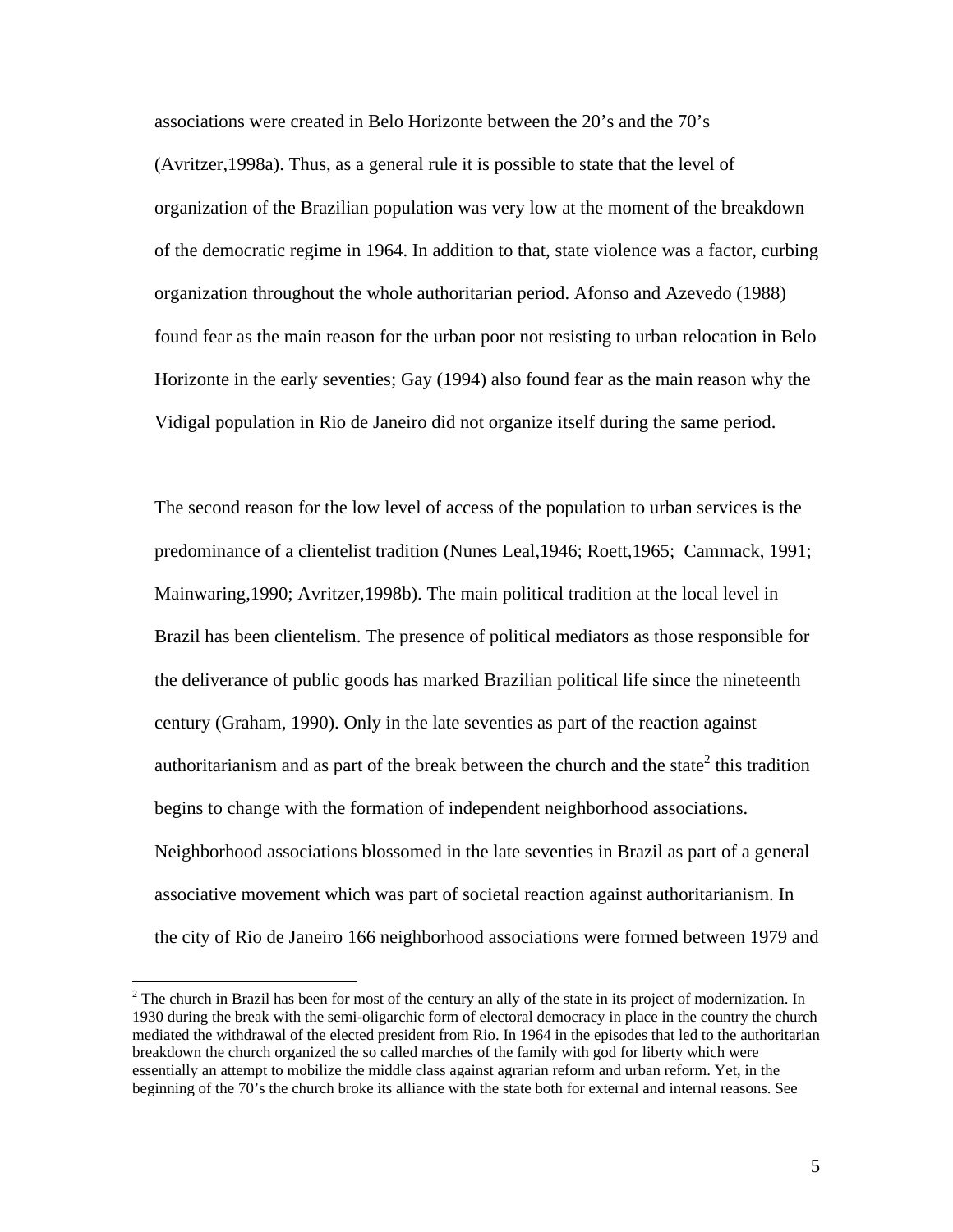associations were created in Belo Horizonte between the 20's and the 70's (Avritzer,1998a). Thus, as a general rule it is possible to state that the level of organization of the Brazilian population was very low at the moment of the breakdown of the democratic regime in 1964. In addition to that, state violence was a factor, curbing organization throughout the whole authoritarian period. Afonso and Azevedo (1988) found fear as the main reason for the urban poor not resisting to urban relocation in Belo Horizonte in the early seventies; Gay (1994) also found fear as the main reason why the Vidigal population in Rio de Janeiro did not organize itself during the same period.

The second reason for the low level of access of the population to urban services is the predominance of a clientelist tradition (Nunes Leal,1946; Roett,1965; Cammack, 1991; Mainwaring,1990; Avritzer,1998b). The main political tradition at the local level in Brazil has been clientelism. The presence of political mediators as those responsible for the deliverance of public goods has marked Brazilian political life since the nineteenth century (Graham, 1990). Only in the late seventies as part of the reaction against authoritarianism and as part of the break between the church and the state<sup>2</sup> this tradition begins to change with the formation of independent neighborhood associations. Neighborhood associations blossomed in the late seventies in Brazil as part of a general associative movement which was part of societal reaction against authoritarianism. In the city of Rio de Janeiro 166 neighborhood associations were formed between 1979 and

 $2<sup>2</sup>$  The church in Brazil has been for most of the century an ally of the state in its project of modernization. In 1930 during the break with the semi-oligarchic form of electoral democracy in place in the country the church mediated the withdrawal of the elected president from Rio. In 1964 in the episodes that led to the authoritarian breakdown the church organized the so called marches of the family with god for liberty which were essentially an attempt to mobilize the middle class against agrarian reform and urban reform. Yet, in the beginning of the 70's the church broke its alliance with the state both for external and internal reasons. See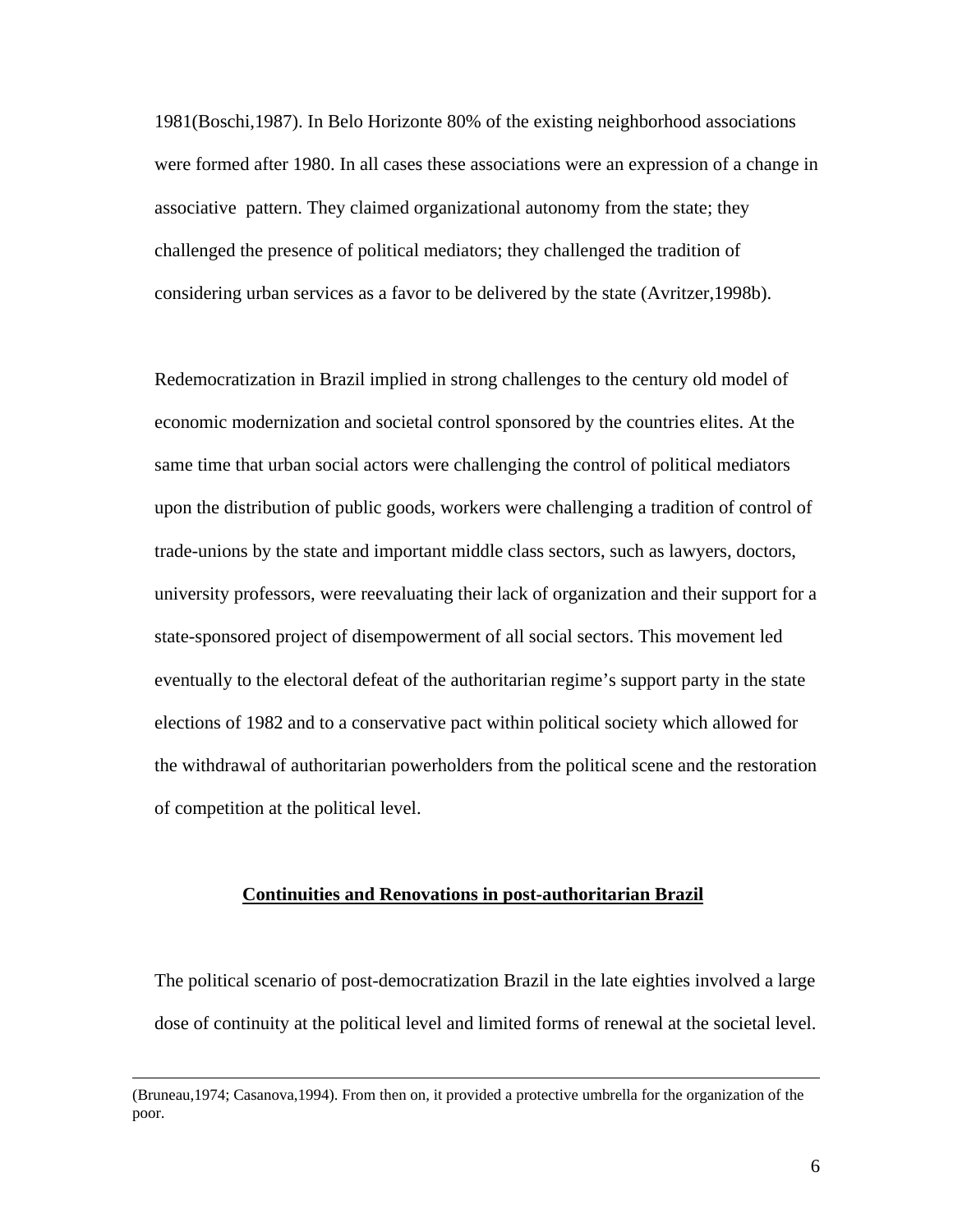1981(Boschi,1987). In Belo Horizonte 80% of the existing neighborhood associations were formed after 1980. In all cases these associations were an expression of a change in associative pattern. They claimed organizational autonomy from the state; they challenged the presence of political mediators; they challenged the tradition of considering urban services as a favor to be delivered by the state (Avritzer,1998b).

Redemocratization in Brazil implied in strong challenges to the century old model of economic modernization and societal control sponsored by the countries elites. At the same time that urban social actors were challenging the control of political mediators upon the distribution of public goods, workers were challenging a tradition of control of trade-unions by the state and important middle class sectors, such as lawyers, doctors, university professors, were reevaluating their lack of organization and their support for a state-sponsored project of disempowerment of all social sectors. This movement led eventually to the electoral defeat of the authoritarian regime's support party in the state elections of 1982 and to a conservative pact within political society which allowed for the withdrawal of authoritarian powerholders from the political scene and the restoration of competition at the political level.

## **Continuities and Renovations in post-authoritarian Brazil**

The political scenario of post-democratization Brazil in the late eighties involved a large dose of continuity at the political level and limited forms of renewal at the societal level.

<sup>(</sup>Bruneau,1974; Casanova,1994). From then on, it provided a protective umbrella for the organization of the poor.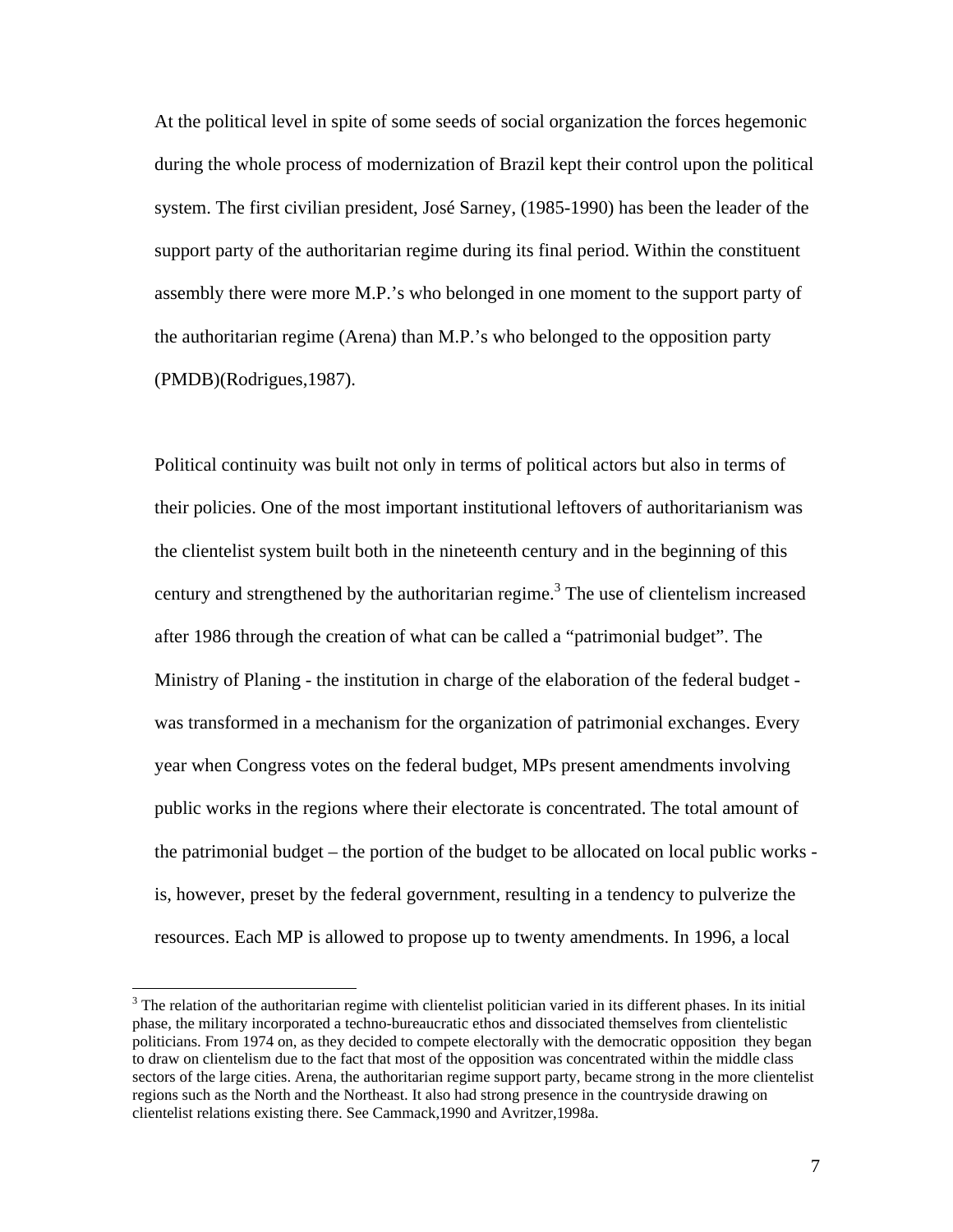At the political level in spite of some seeds of social organization the forces hegemonic during the whole process of modernization of Brazil kept their control upon the political system. The first civilian president, José Sarney, (1985-1990) has been the leader of the support party of the authoritarian regime during its final period. Within the constituent assembly there were more M.P.'s who belonged in one moment to the support party of the authoritarian regime (Arena) than M.P.'s who belonged to the opposition party (PMDB)(Rodrigues,1987).

Political continuity was built not only in terms of political actors but also in terms of their policies. One of the most important institutional leftovers of authoritarianism was the clientelist system built both in the nineteenth century and in the beginning of this century and strengthened by the authoritarian regime.<sup>3</sup> The use of clientelism increased after 1986 through the creation of what can be called a "patrimonial budget". The Ministry of Planing - the institution in charge of the elaboration of the federal budget was transformed in a mechanism for the organization of patrimonial exchanges. Every year when Congress votes on the federal budget, MPs present amendments involving public works in the regions where their electorate is concentrated. The total amount of the patrimonial budget – the portion of the budget to be allocated on local public works is, however, preset by the federal government, resulting in a tendency to pulverize the resources. Each MP is allowed to propose up to twenty amendments. In 1996, a local

 $3$  The relation of the authoritarian regime with clientelist politician varied in its different phases. In its initial phase, the military incorporated a techno-bureaucratic ethos and dissociated themselves from clientelistic politicians. From 1974 on, as they decided to compete electorally with the democratic opposition they began to draw on clientelism due to the fact that most of the opposition was concentrated within the middle class sectors of the large cities. Arena, the authoritarian regime support party, became strong in the more clientelist regions such as the North and the Northeast. It also had strong presence in the countryside drawing on clientelist relations existing there. See Cammack,1990 and Avritzer,1998a.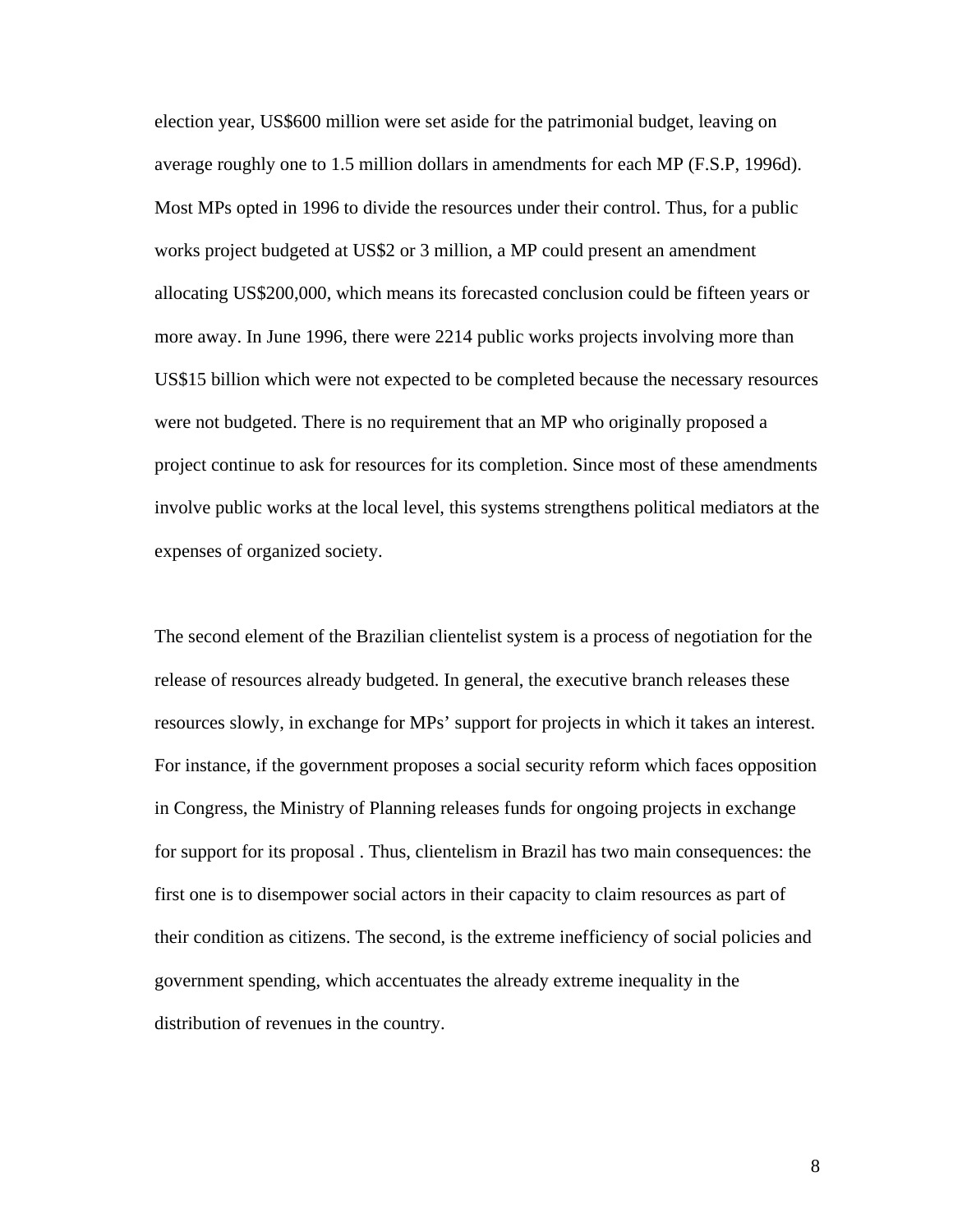election year, US\$600 million were set aside for the patrimonial budget, leaving on average roughly one to 1.5 million dollars in amendments for each MP (F.S.P, 1996d). Most MPs opted in 1996 to divide the resources under their control. Thus, for a public works project budgeted at US\$2 or 3 million, a MP could present an amendment allocating US\$200,000, which means its forecasted conclusion could be fifteen years or more away. In June 1996, there were 2214 public works projects involving more than US\$15 billion which were not expected to be completed because the necessary resources were not budgeted. There is no requirement that an MP who originally proposed a project continue to ask for resources for its completion. Since most of these amendments involve public works at the local level, this systems strengthens political mediators at the expenses of organized society.

The second element of the Brazilian clientelist system is a process of negotiation for the release of resources already budgeted. In general, the executive branch releases these resources slowly, in exchange for MPs' support for projects in which it takes an interest. For instance, if the government proposes a social security reform which faces opposition in Congress, the Ministry of Planning releases funds for ongoing projects in exchange for support for its proposal . Thus, clientelism in Brazil has two main consequences: the first one is to disempower social actors in their capacity to claim resources as part of their condition as citizens. The second, is the extreme inefficiency of social policies and government spending, which accentuates the already extreme inequality in the distribution of revenues in the country.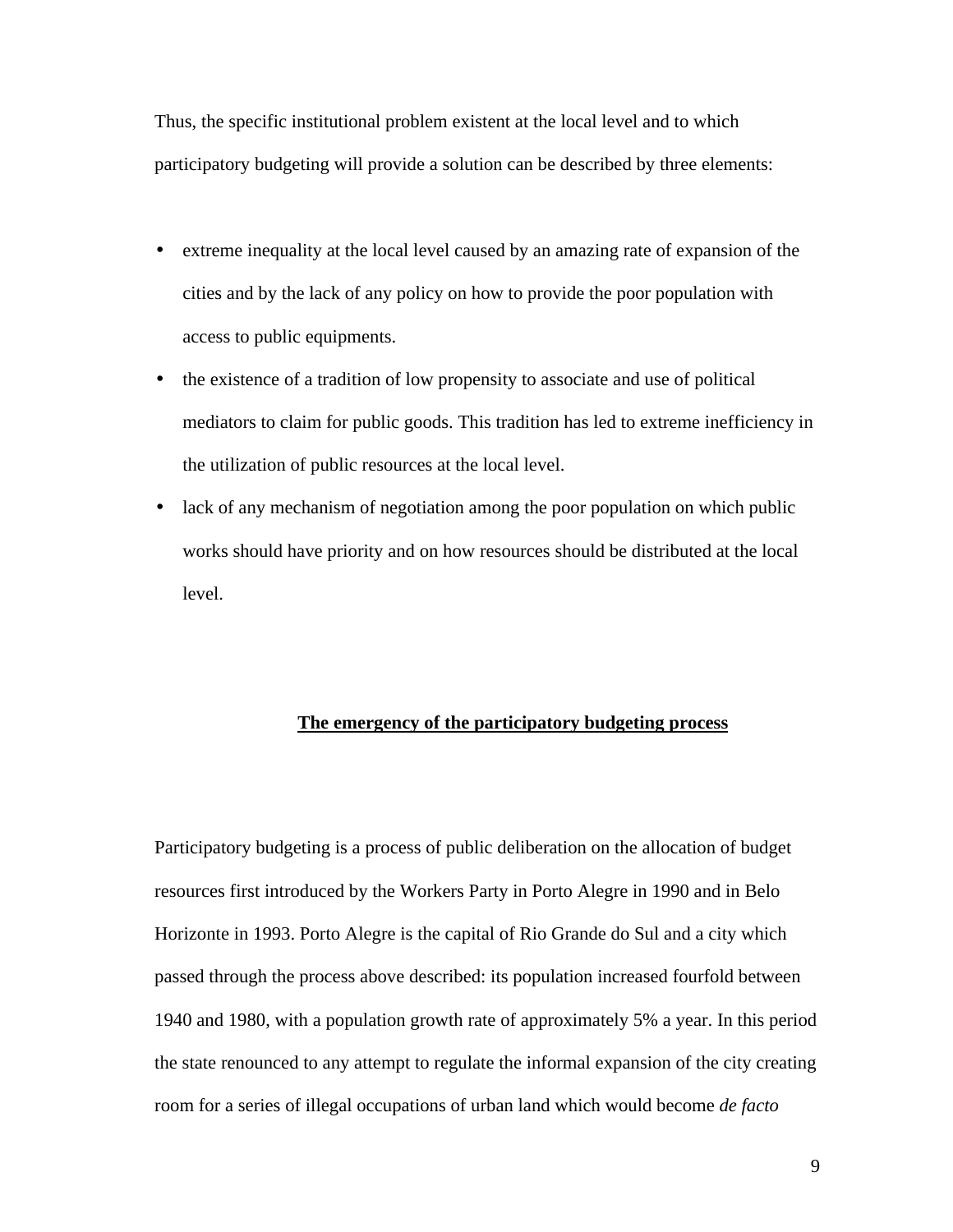Thus, the specific institutional problem existent at the local level and to which participatory budgeting will provide a solution can be described by three elements:

- extreme inequality at the local level caused by an amazing rate of expansion of the cities and by the lack of any policy on how to provide the poor population with access to public equipments.
- the existence of a tradition of low propensity to associate and use of political mediators to claim for public goods. This tradition has led to extreme inefficiency in the utilization of public resources at the local level.
- lack of any mechanism of negotiation among the poor population on which public works should have priority and on how resources should be distributed at the local level.

## **The emergency of the participatory budgeting process**

Participatory budgeting is a process of public deliberation on the allocation of budget resources first introduced by the Workers Party in Porto Alegre in 1990 and in Belo Horizonte in 1993. Porto Alegre is the capital of Rio Grande do Sul and a city which passed through the process above described: its population increased fourfold between 1940 and 1980, with a population growth rate of approximately 5% a year. In this period the state renounced to any attempt to regulate the informal expansion of the city creating room for a series of illegal occupations of urban land which would become *de facto*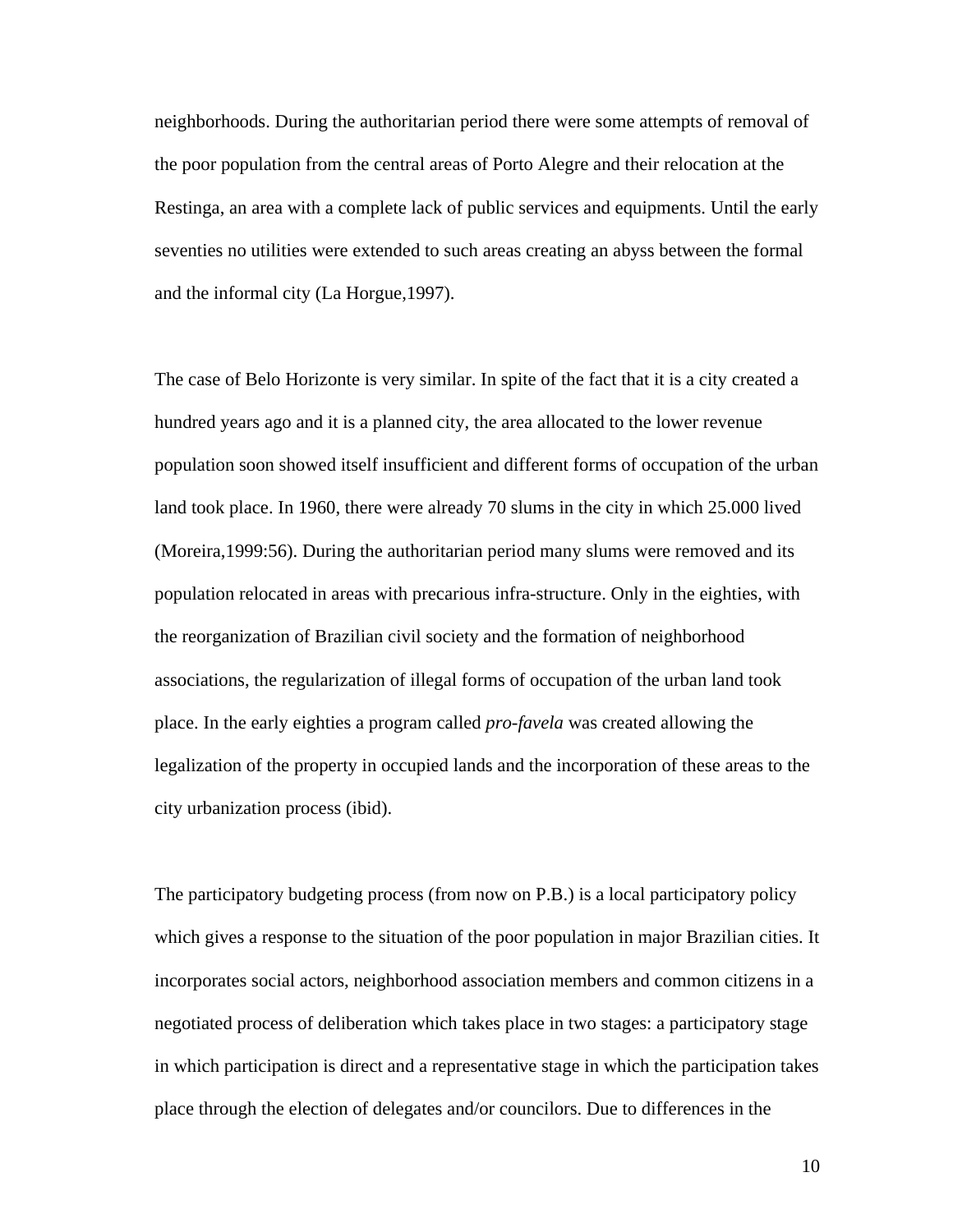neighborhoods. During the authoritarian period there were some attempts of removal of the poor population from the central areas of Porto Alegre and their relocation at the Restinga, an area with a complete lack of public services and equipments. Until the early seventies no utilities were extended to such areas creating an abyss between the formal and the informal city (La Horgue,1997).

The case of Belo Horizonte is very similar. In spite of the fact that it is a city created a hundred years ago and it is a planned city, the area allocated to the lower revenue population soon showed itself insufficient and different forms of occupation of the urban land took place. In 1960, there were already 70 slums in the city in which 25.000 lived (Moreira,1999:56). During the authoritarian period many slums were removed and its population relocated in areas with precarious infra-structure. Only in the eighties, with the reorganization of Brazilian civil society and the formation of neighborhood associations, the regularization of illegal forms of occupation of the urban land took place. In the early eighties a program called *pro-favela* was created allowing the legalization of the property in occupied lands and the incorporation of these areas to the city urbanization process (ibid).

The participatory budgeting process (from now on P.B.) is a local participatory policy which gives a response to the situation of the poor population in major Brazilian cities. It incorporates social actors, neighborhood association members and common citizens in a negotiated process of deliberation which takes place in two stages: a participatory stage in which participation is direct and a representative stage in which the participation takes place through the election of delegates and/or councilors. Due to differences in the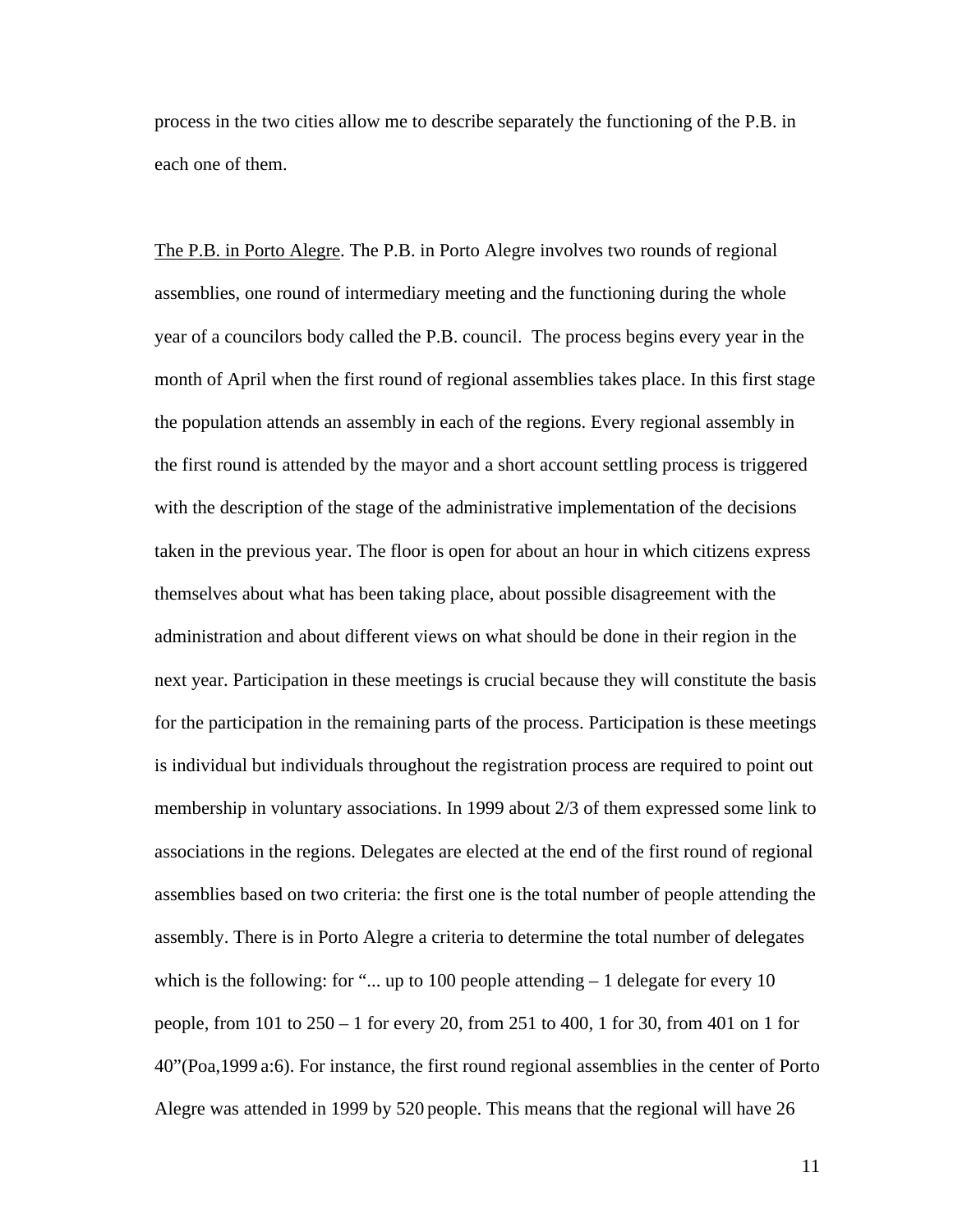process in the two cities allow me to describe separately the functioning of the P.B. in each one of them.

The P.B. in Porto Alegre. The P.B. in Porto Alegre involves two rounds of regional assemblies, one round of intermediary meeting and the functioning during the whole year of a councilors body called the P.B. council. The process begins every year in the month of April when the first round of regional assemblies takes place. In this first stage the population attends an assembly in each of the regions. Every regional assembly in the first round is attended by the mayor and a short account settling process is triggered with the description of the stage of the administrative implementation of the decisions taken in the previous year. The floor is open for about an hour in which citizens express themselves about what has been taking place, about possible disagreement with the administration and about different views on what should be done in their region in the next year. Participation in these meetings is crucial because they will constitute the basis for the participation in the remaining parts of the process. Participation is these meetings is individual but individuals throughout the registration process are required to point out membership in voluntary associations. In 1999 about 2/3 of them expressed some link to associations in the regions. Delegates are elected at the end of the first round of regional assemblies based on two criteria: the first one is the total number of people attending the assembly. There is in Porto Alegre a criteria to determine the total number of delegates which is the following: for "... up to 100 people attending  $-1$  delegate for every 10 people, from 101 to 250 – 1 for every 20, from 251 to 400, 1 for 30, from 401 on 1 for 40"(Poa,1999 a:6). For instance, the first round regional assemblies in the center of Porto Alegre was attended in 1999 by 520 people. This means that the regional will have 26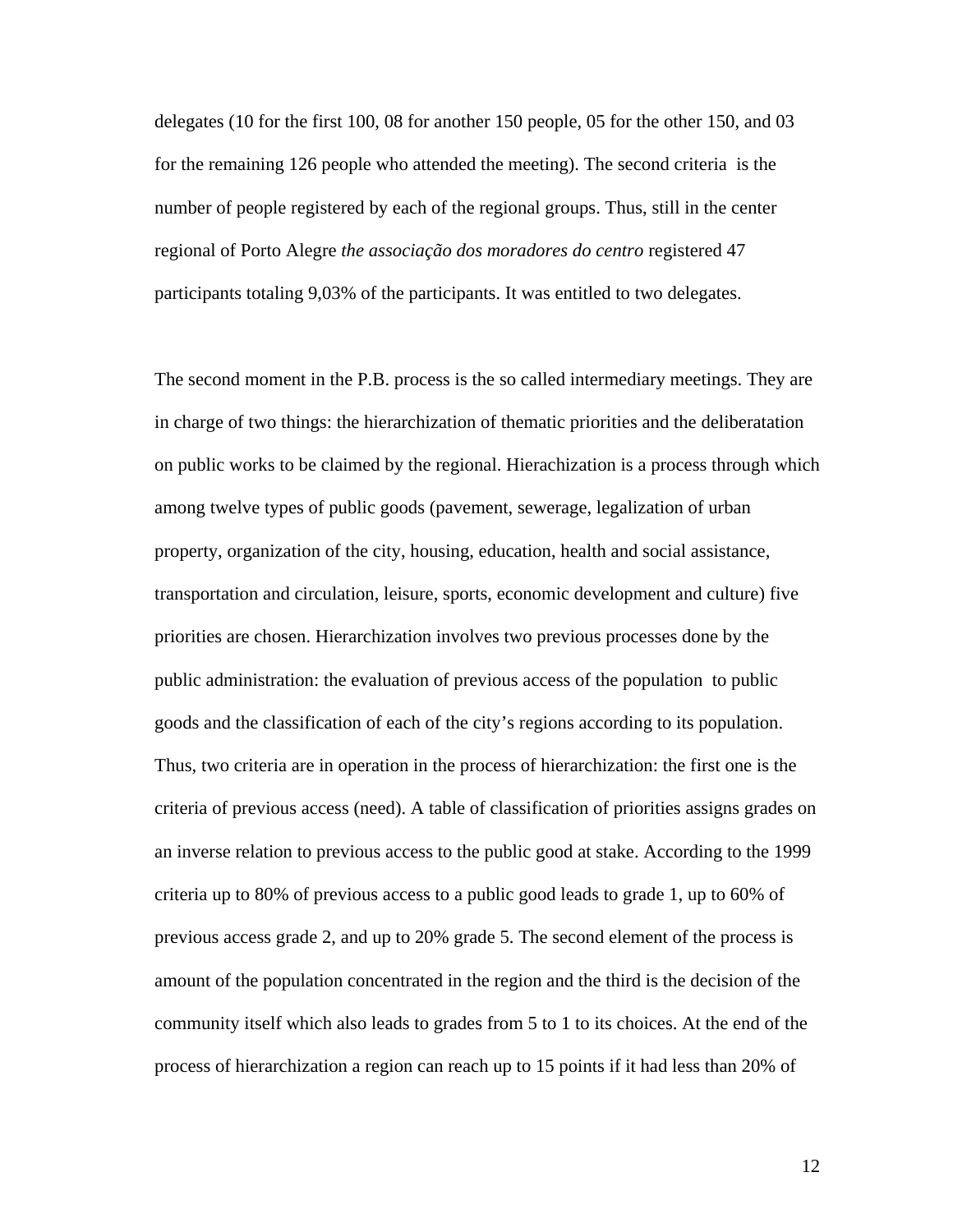delegates (10 for the first 100, 08 for another 150 people, 05 for the other 150, and 03 for the remaining 126 people who attended the meeting). The second criteria is the number of people registered by each of the regional groups. Thus, still in the center regional of Porto Alegre *the associação dos moradores do centro* registered 47 participants totaling 9,03% of the participants. It was entitled to two delegates.

The second moment in the P.B. process is the so called intermediary meetings. They are in charge of two things: the hierarchization of thematic priorities and the deliberatation on public works to be claimed by the regional. Hierachization is a process through which among twelve types of public goods (pavement, sewerage, legalization of urban property, organization of the city, housing, education, health and social assistance, transportation and circulation, leisure, sports, economic development and culture) five priorities are chosen. Hierarchization involves two previous processes done by the public administration: the evaluation of previous access of the population to public goods and the classification of each of the city's regions according to its population. Thus, two criteria are in operation in the process of hierarchization: the first one is the criteria of previous access (need). A table of classification of priorities assigns grades on an inverse relation to previous access to the public good at stake. According to the 1999 criteria up to 80% of previous access to a public good leads to grade 1, up to 60% of previous access grade 2, and up to 20% grade 5. The second element of the process is amount of the population concentrated in the region and the third is the decision of the community itself which also leads to grades from 5 to 1 to its choices. At the end of the process of hierarchization a region can reach up to 15 points if it had less than 20% of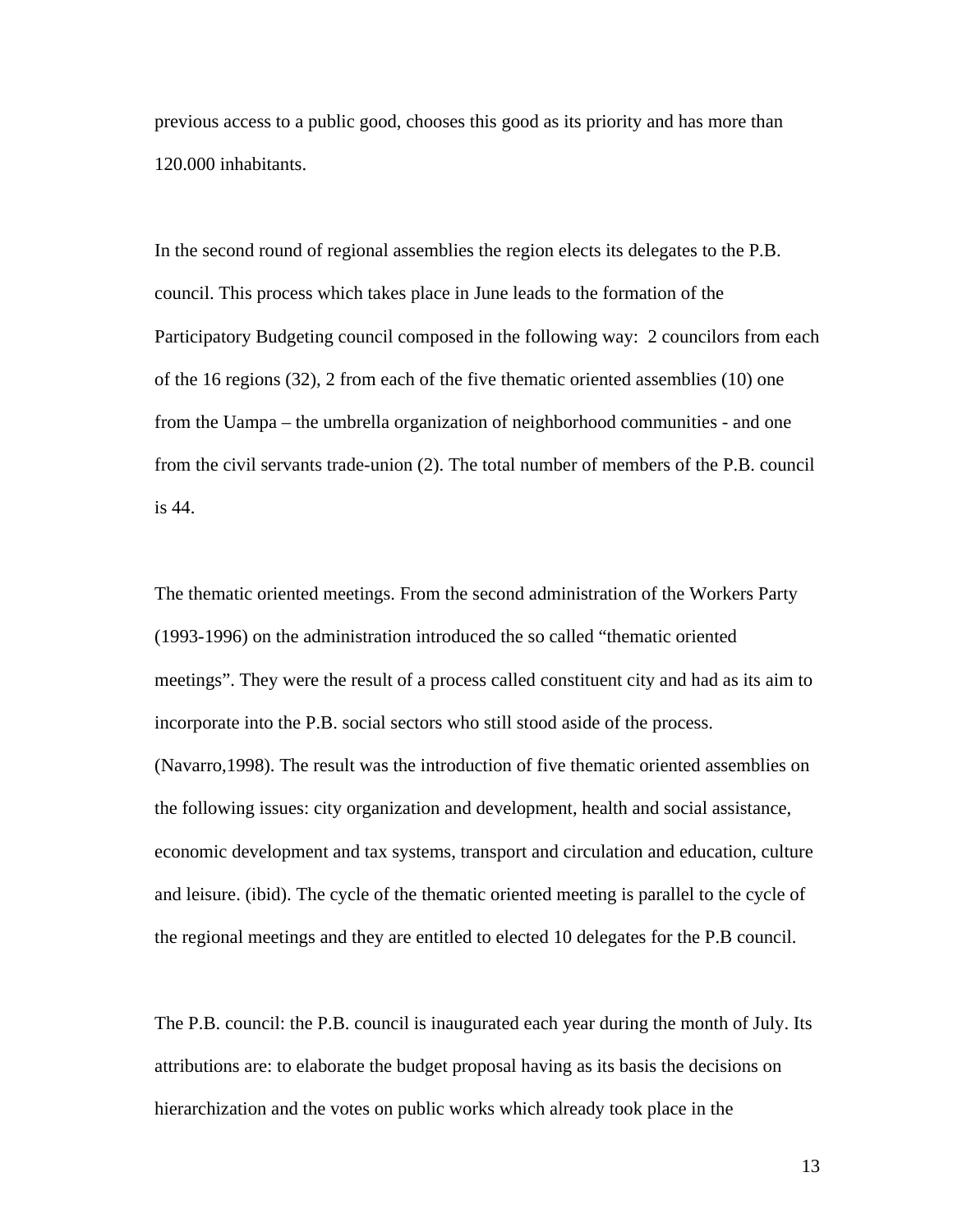previous access to a public good, chooses this good as its priority and has more than 120.000 inhabitants.

In the second round of regional assemblies the region elects its delegates to the P.B. council. This process which takes place in June leads to the formation of the Participatory Budgeting council composed in the following way: 2 councilors from each of the 16 regions (32), 2 from each of the five thematic oriented assemblies (10) one from the Uampa – the umbrella organization of neighborhood communities - and one from the civil servants trade-union (2). The total number of members of the P.B. council is 44.

The thematic oriented meetings. From the second administration of the Workers Party (1993-1996) on the administration introduced the so called "thematic oriented meetings". They were the result of a process called constituent city and had as its aim to incorporate into the P.B. social sectors who still stood aside of the process. (Navarro,1998). The result was the introduction of five thematic oriented assemblies on the following issues: city organization and development, health and social assistance, economic development and tax systems, transport and circulation and education, culture and leisure. (ibid). The cycle of the thematic oriented meeting is parallel to the cycle of the regional meetings and they are entitled to elected 10 delegates for the P.B council.

The P.B. council: the P.B. council is inaugurated each year during the month of July. Its attributions are: to elaborate the budget proposal having as its basis the decisions on hierarchization and the votes on public works which already took place in the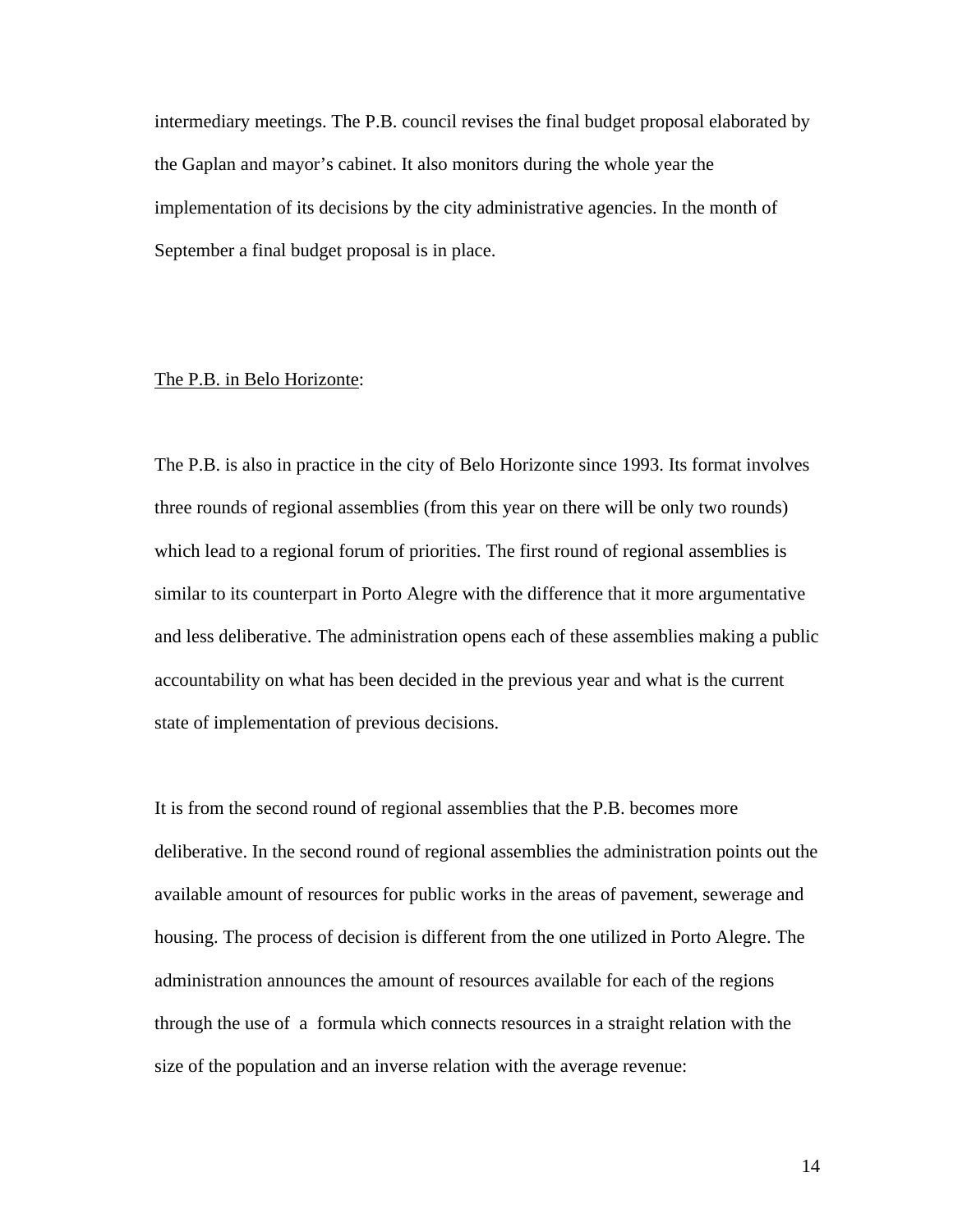intermediary meetings. The P.B. council revises the final budget proposal elaborated by the Gaplan and mayor's cabinet. It also monitors during the whole year the implementation of its decisions by the city administrative agencies. In the month of September a final budget proposal is in place.

### The P.B. in Belo Horizonte:

The P.B. is also in practice in the city of Belo Horizonte since 1993. Its format involves three rounds of regional assemblies (from this year on there will be only two rounds) which lead to a regional forum of priorities. The first round of regional assemblies is similar to its counterpart in Porto Alegre with the difference that it more argumentative and less deliberative. The administration opens each of these assemblies making a public accountability on what has been decided in the previous year and what is the current state of implementation of previous decisions.

It is from the second round of regional assemblies that the P.B. becomes more deliberative. In the second round of regional assemblies the administration points out the available amount of resources for public works in the areas of pavement, sewerage and housing. The process of decision is different from the one utilized in Porto Alegre. The administration announces the amount of resources available for each of the regions through the use of a formula which connects resources in a straight relation with the size of the population and an inverse relation with the average revenue: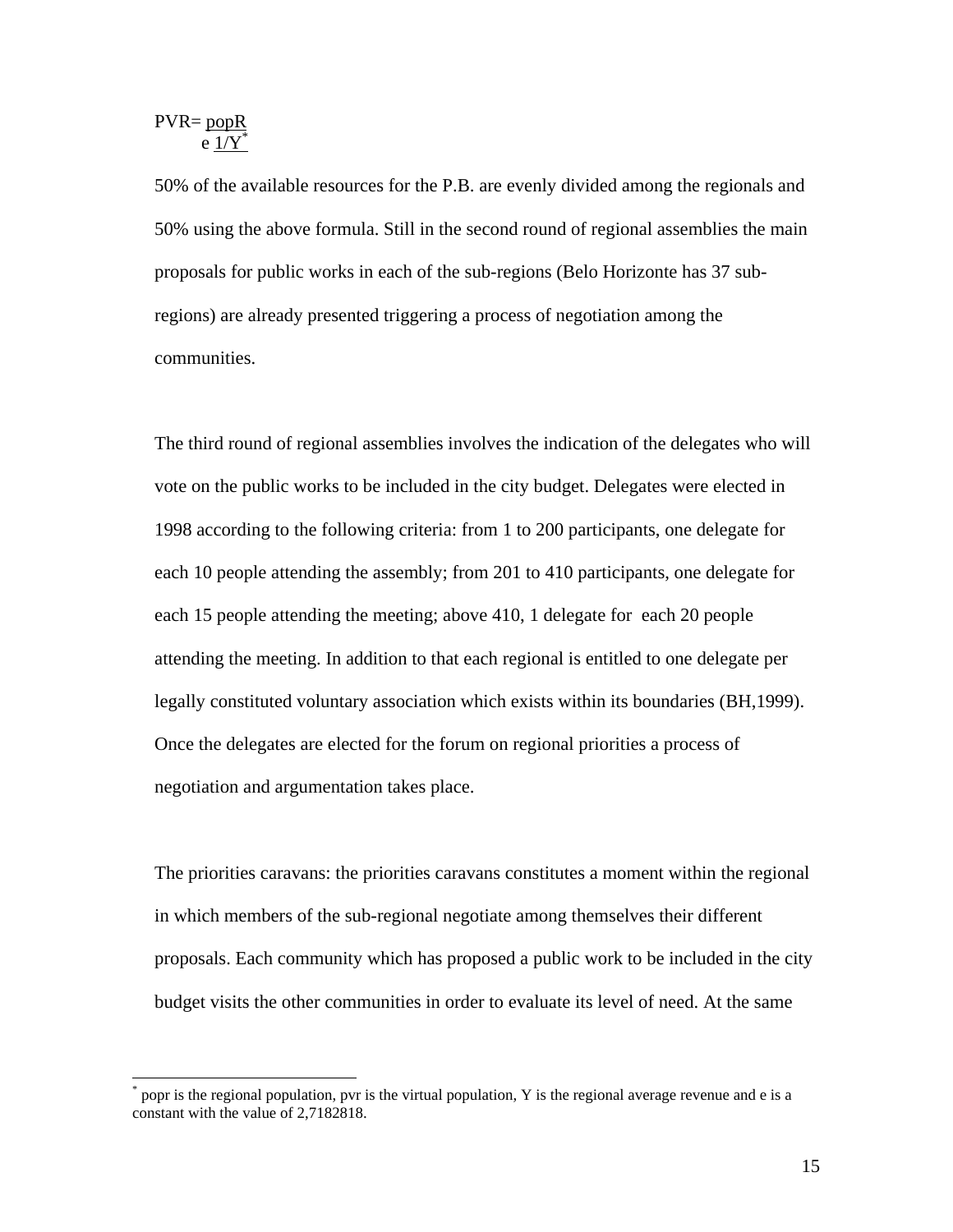$$
PVR = \underline{popR} \newline e \underline{1/Y}^*
$$

1

50% of the available resources for the P.B. are evenly divided among the regionals and 50% using the above formula. Still in the second round of regional assemblies the main proposals for public works in each of the sub-regions (Belo Horizonte has 37 subregions) are already presented triggering a process of negotiation among the communities.

The third round of regional assemblies involves the indication of the delegates who will vote on the public works to be included in the city budget. Delegates were elected in 1998 according to the following criteria: from 1 to 200 participants, one delegate for each 10 people attending the assembly; from 201 to 410 participants, one delegate for each 15 people attending the meeting; above 410, 1 delegate for each 20 people attending the meeting. In addition to that each regional is entitled to one delegate per legally constituted voluntary association which exists within its boundaries (BH,1999). Once the delegates are elected for the forum on regional priorities a process of negotiation and argumentation takes place.

The priorities caravans: the priorities caravans constitutes a moment within the regional in which members of the sub-regional negotiate among themselves their different proposals. Each community which has proposed a public work to be included in the city budget visits the other communities in order to evaluate its level of need. At the same

<sup>\*</sup> popr is the regional population, pvr is the virtual population, Y is the regional average revenue and e is a constant with the value of 2,7182818.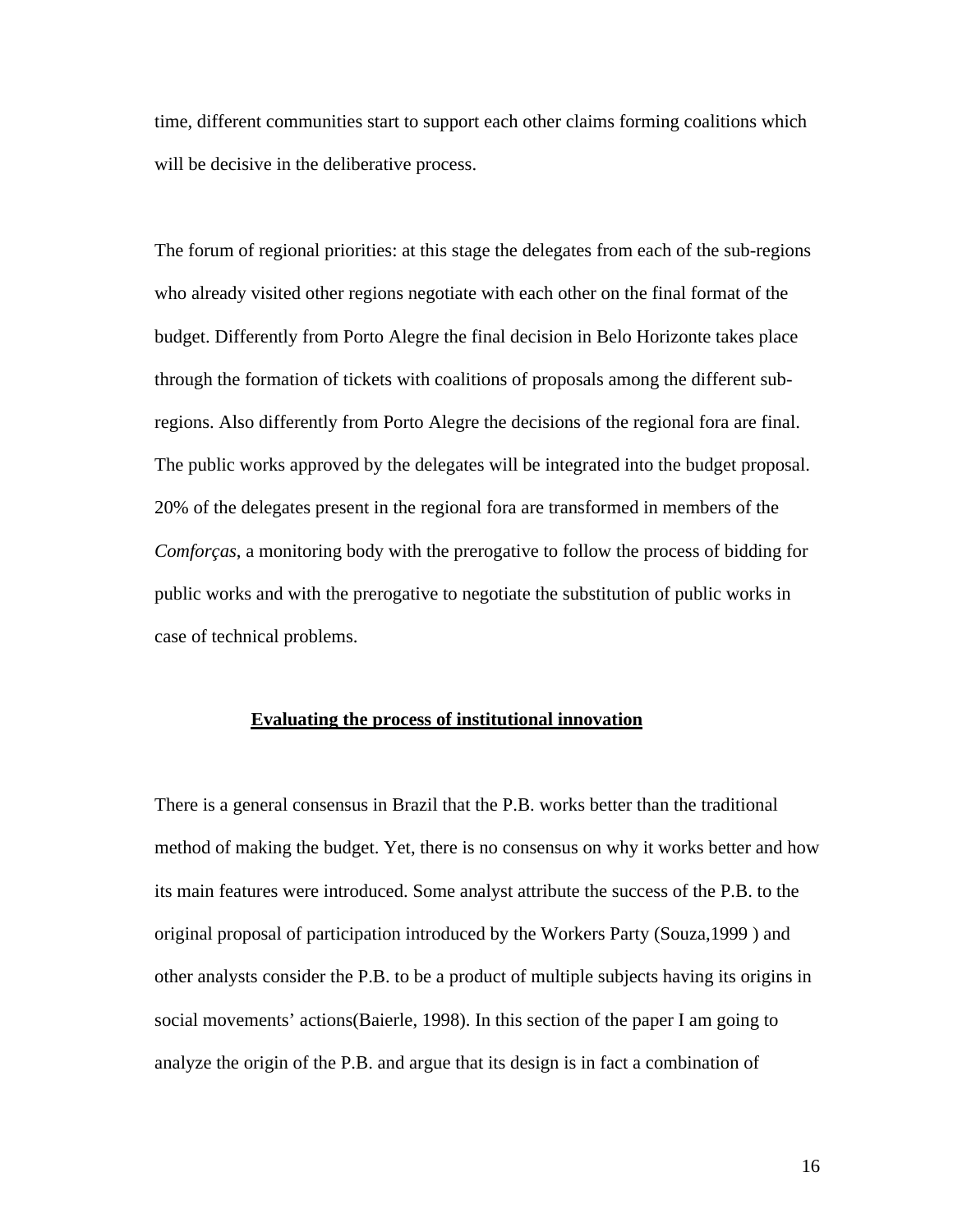time, different communities start to support each other claims forming coalitions which will be decisive in the deliberative process.

The forum of regional priorities: at this stage the delegates from each of the sub-regions who already visited other regions negotiate with each other on the final format of the budget. Differently from Porto Alegre the final decision in Belo Horizonte takes place through the formation of tickets with coalitions of proposals among the different subregions. Also differently from Porto Alegre the decisions of the regional fora are final. The public works approved by the delegates will be integrated into the budget proposal. 20% of the delegates present in the regional fora are transformed in members of the *Comforças*, a monitoring body with the prerogative to follow the process of bidding for public works and with the prerogative to negotiate the substitution of public works in case of technical problems.

### **Evaluating the process of institutional innovation**

There is a general consensus in Brazil that the P.B. works better than the traditional method of making the budget. Yet, there is no consensus on why it works better and how its main features were introduced. Some analyst attribute the success of the P.B. to the original proposal of participation introduced by the Workers Party (Souza,1999 ) and other analysts consider the P.B. to be a product of multiple subjects having its origins in social movements' actions(Baierle, 1998). In this section of the paper I am going to analyze the origin of the P.B. and argue that its design is in fact a combination of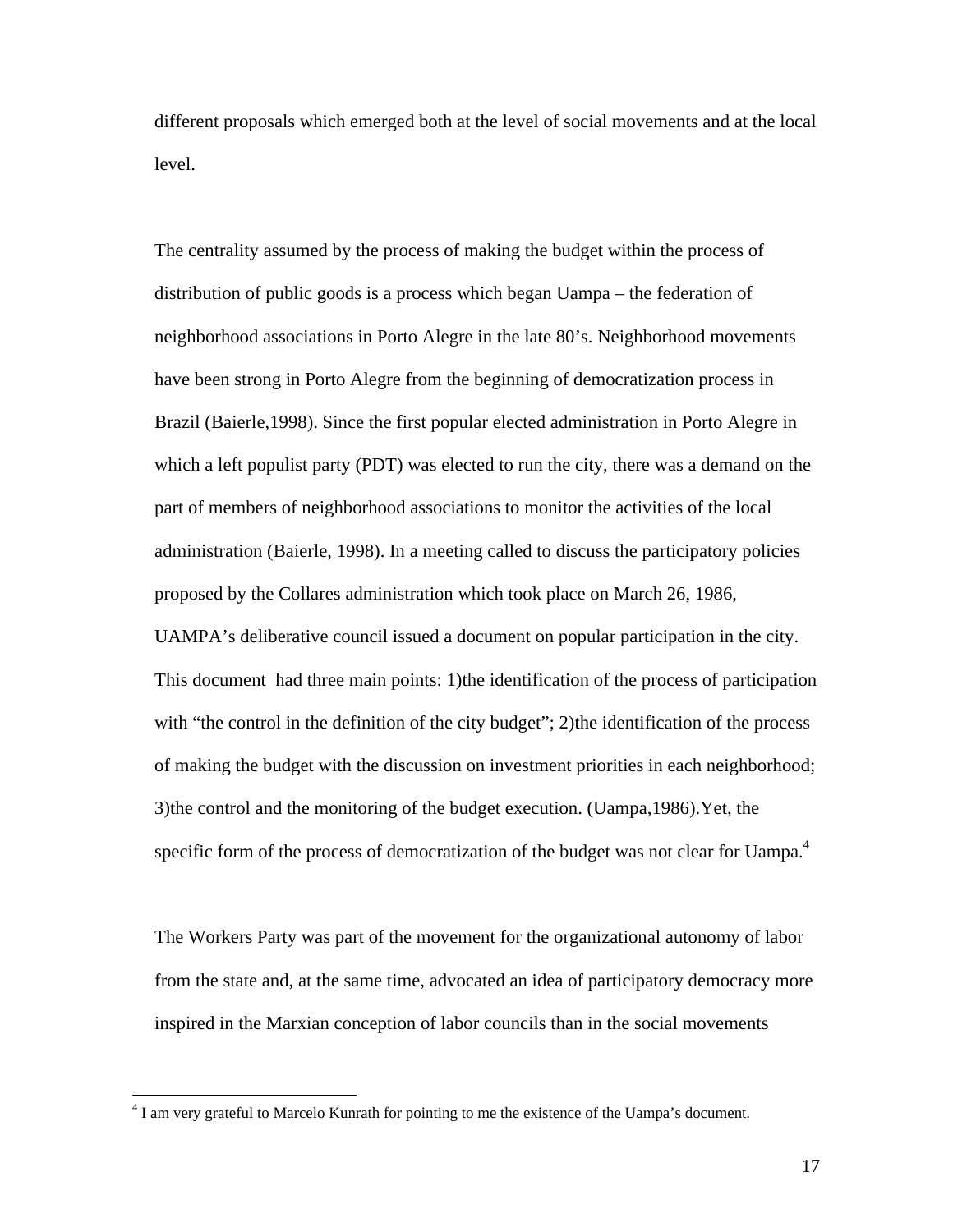different proposals which emerged both at the level of social movements and at the local level.

The centrality assumed by the process of making the budget within the process of distribution of public goods is a process which began Uampa – the federation of neighborhood associations in Porto Alegre in the late 80's. Neighborhood movements have been strong in Porto Alegre from the beginning of democratization process in Brazil (Baierle,1998). Since the first popular elected administration in Porto Alegre in which a left populist party (PDT) was elected to run the city, there was a demand on the part of members of neighborhood associations to monitor the activities of the local administration (Baierle, 1998). In a meeting called to discuss the participatory policies proposed by the Collares administration which took place on March 26, 1986, UAMPA's deliberative council issued a document on popular participation in the city. This document had three main points: 1)the identification of the process of participation with "the control in the definition of the city budget"; 2) the identification of the process of making the budget with the discussion on investment priorities in each neighborhood; 3)the control and the monitoring of the budget execution. (Uampa,1986).Yet, the specific form of the process of democratization of the budget was not clear for Uampa.<sup>4</sup>

The Workers Party was part of the movement for the organizational autonomy of labor from the state and, at the same time, advocated an idea of participatory democracy more inspired in the Marxian conception of labor councils than in the social movements

<sup>&</sup>lt;sup>4</sup> I am very grateful to Marcelo Kunrath for pointing to me the existence of the Uampa's document.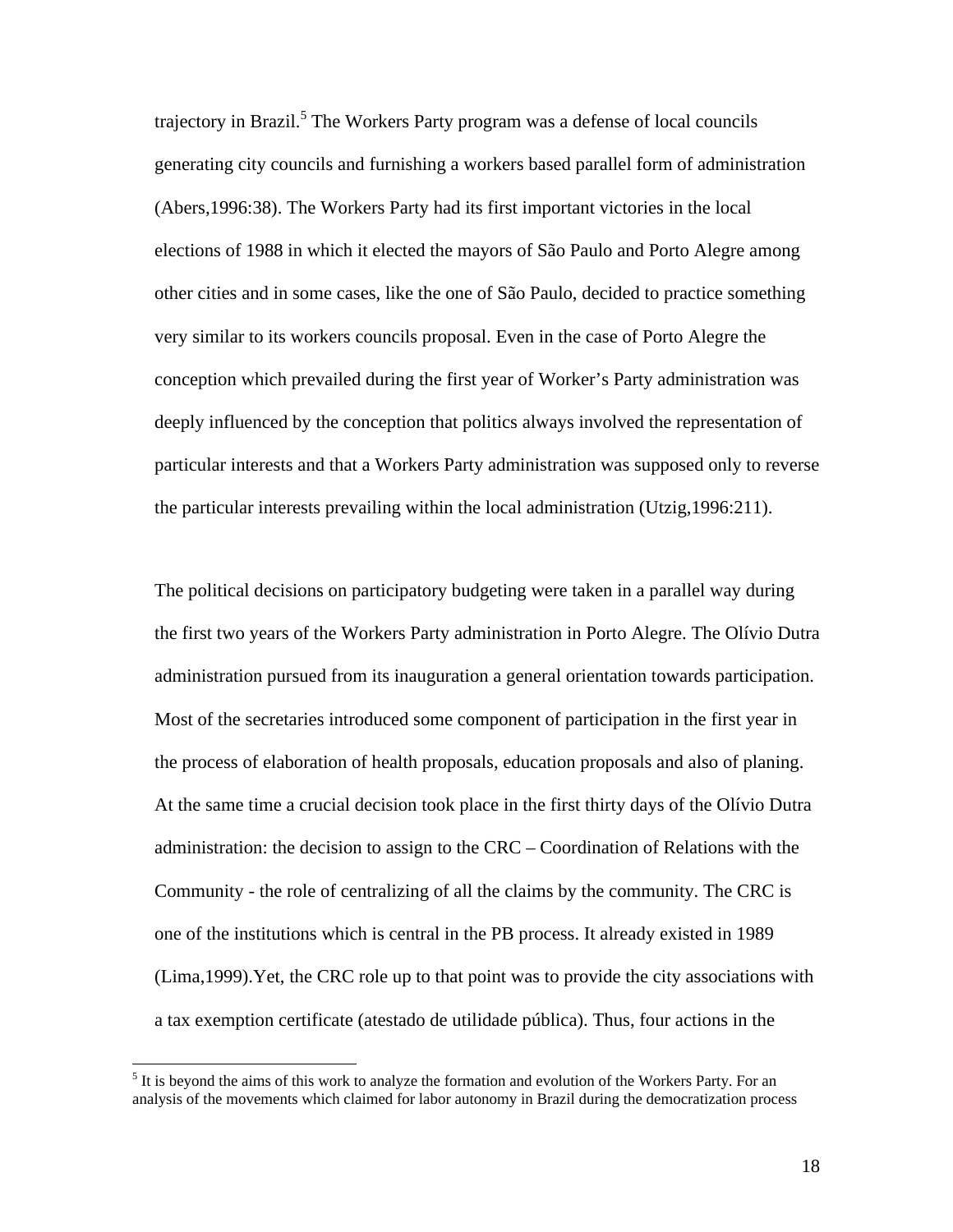trajectory in Brazil.<sup>5</sup> The Workers Party program was a defense of local councils generating city councils and furnishing a workers based parallel form of administration (Abers,1996:38). The Workers Party had its first important victories in the local elections of 1988 in which it elected the mayors of São Paulo and Porto Alegre among other cities and in some cases, like the one of São Paulo, decided to practice something very similar to its workers councils proposal. Even in the case of Porto Alegre the conception which prevailed during the first year of Worker's Party administration was deeply influenced by the conception that politics always involved the representation of particular interests and that a Workers Party administration was supposed only to reverse the particular interests prevailing within the local administration (Utzig,1996:211).

The political decisions on participatory budgeting were taken in a parallel way during the first two years of the Workers Party administration in Porto Alegre. The Olívio Dutra administration pursued from its inauguration a general orientation towards participation. Most of the secretaries introduced some component of participation in the first year in the process of elaboration of health proposals, education proposals and also of planing. At the same time a crucial decision took place in the first thirty days of the Olívio Dutra administration: the decision to assign to the CRC – Coordination of Relations with the Community - the role of centralizing of all the claims by the community. The CRC is one of the institutions which is central in the PB process. It already existed in 1989 (Lima,1999).Yet, the CRC role up to that point was to provide the city associations with a tax exemption certificate (atestado de utilidade pública). Thus, four actions in the

 $<sup>5</sup>$  It is beyond the aims of this work to analyze the formation and evolution of the Workers Party. For an</sup> analysis of the movements which claimed for labor autonomy in Brazil during the democratization process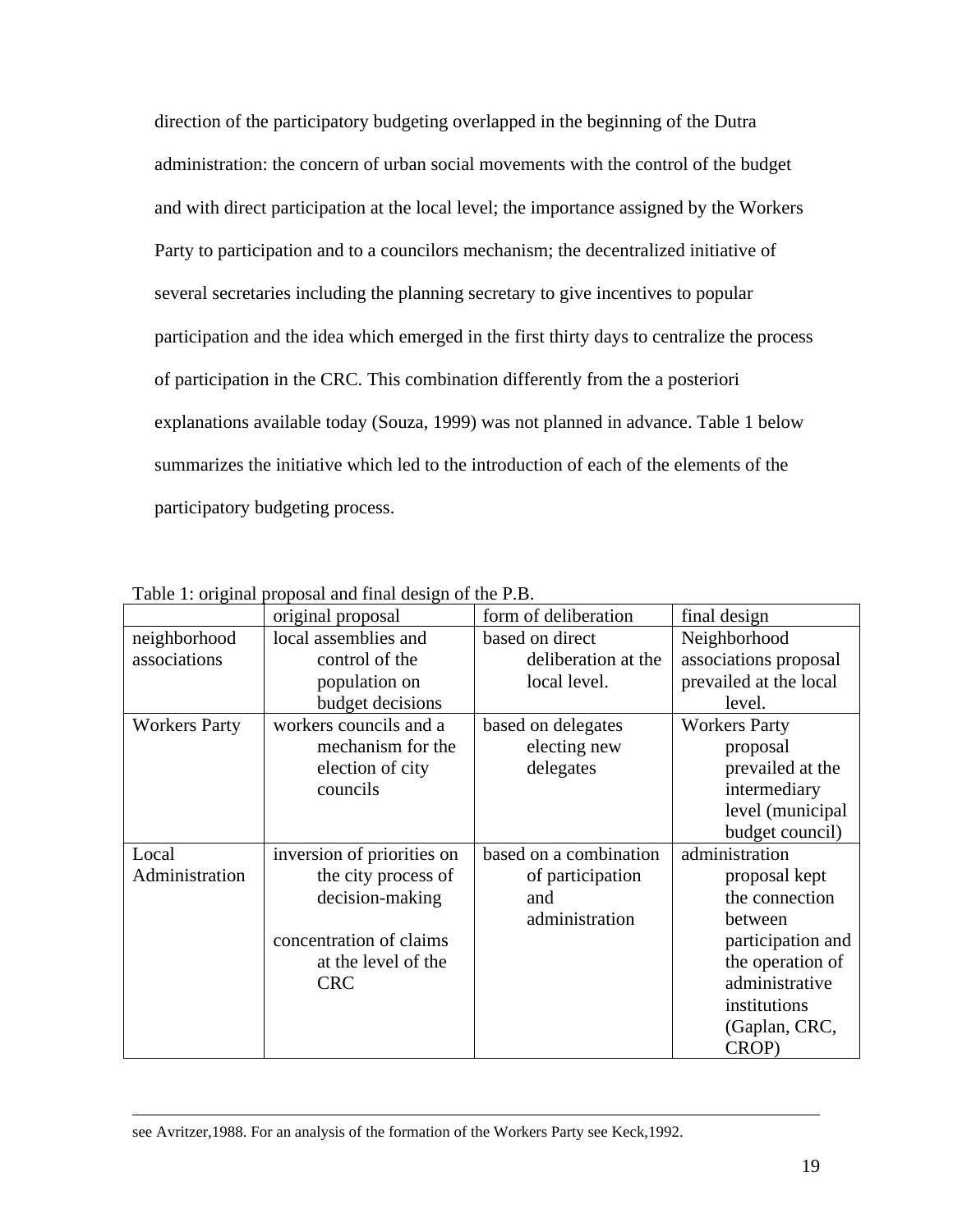direction of the participatory budgeting overlapped in the beginning of the Dutra administration: the concern of urban social movements with the control of the budget and with direct participation at the local level; the importance assigned by the Workers Party to participation and to a councilors mechanism; the decentralized initiative of several secretaries including the planning secretary to give incentives to popular participation and the idea which emerged in the first thirty days to centralize the process of participation in the CRC. This combination differently from the a posteriori explanations available today (Souza, 1999) was not planned in advance. Table 1 below summarizes the initiative which led to the introduction of each of the elements of the participatory budgeting process.

|                      | original proposal          | form of deliberation   | final design           |
|----------------------|----------------------------|------------------------|------------------------|
| neighborhood         | local assemblies and       | based on direct        | Neighborhood           |
| associations         | control of the             | deliberation at the    | associations proposal  |
|                      | population on              | local level.           | prevailed at the local |
|                      | budget decisions           |                        | level.                 |
| <b>Workers Party</b> | workers councils and a     | based on delegates     | <b>Workers Party</b>   |
|                      | mechanism for the          | electing new           | proposal               |
|                      | election of city           | delegates              | prevailed at the       |
|                      | councils                   |                        | intermediary           |
|                      |                            |                        | level (municipal       |
|                      |                            |                        | budget council)        |
| Local                | inversion of priorities on | based on a combination | administration         |
| Administration       | the city process of        | of participation       | proposal kept          |
|                      | decision-making            | and                    | the connection         |
|                      |                            | administration         | between                |
|                      | concentration of claims    |                        | participation and      |
|                      | at the level of the        |                        | the operation of       |
|                      | <b>CRC</b>                 |                        | administrative         |
|                      |                            |                        | institutions           |
|                      |                            |                        | (Gaplan, CRC,          |
|                      |                            |                        | CROP)                  |

Table 1: original proposal and final design of the P.B.

see Avritzer,1988. For an analysis of the formation of the Workers Party see Keck,1992.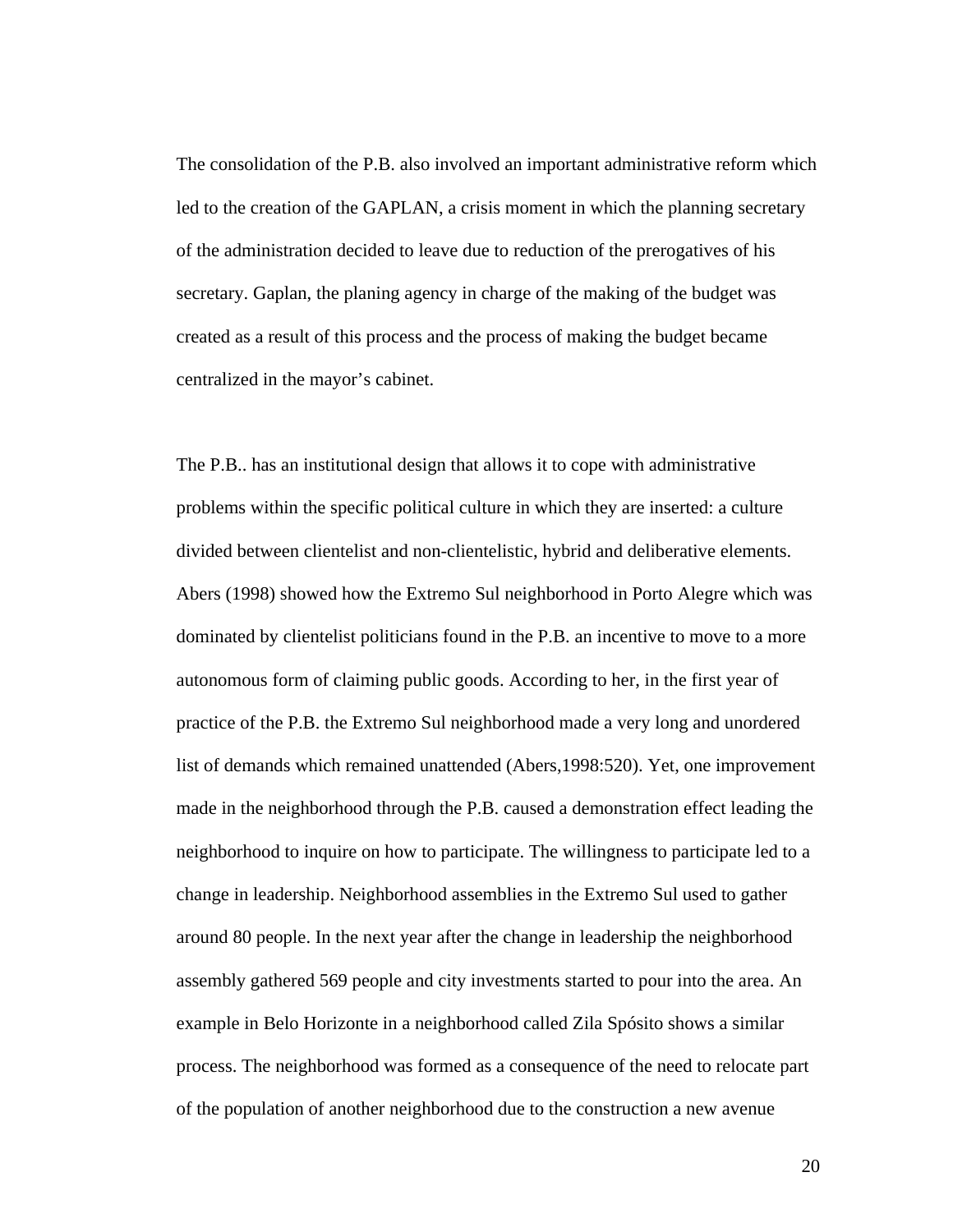The consolidation of the P.B. also involved an important administrative reform which led to the creation of the GAPLAN, a crisis moment in which the planning secretary of the administration decided to leave due to reduction of the prerogatives of his secretary. Gaplan, the planing agency in charge of the making of the budget was created as a result of this process and the process of making the budget became centralized in the mayor's cabinet.

The P.B.. has an institutional design that allows it to cope with administrative problems within the specific political culture in which they are inserted: a culture divided between clientelist and non-clientelistic, hybrid and deliberative elements. Abers (1998) showed how the Extremo Sul neighborhood in Porto Alegre which was dominated by clientelist politicians found in the P.B. an incentive to move to a more autonomous form of claiming public goods. According to her, in the first year of practice of the P.B. the Extremo Sul neighborhood made a very long and unordered list of demands which remained unattended (Abers,1998:520). Yet, one improvement made in the neighborhood through the P.B. caused a demonstration effect leading the neighborhood to inquire on how to participate. The willingness to participate led to a change in leadership. Neighborhood assemblies in the Extremo Sul used to gather around 80 people. In the next year after the change in leadership the neighborhood assembly gathered 569 people and city investments started to pour into the area. An example in Belo Horizonte in a neighborhood called Zila Spósito shows a similar process. The neighborhood was formed as a consequence of the need to relocate part of the population of another neighborhood due to the construction a new avenue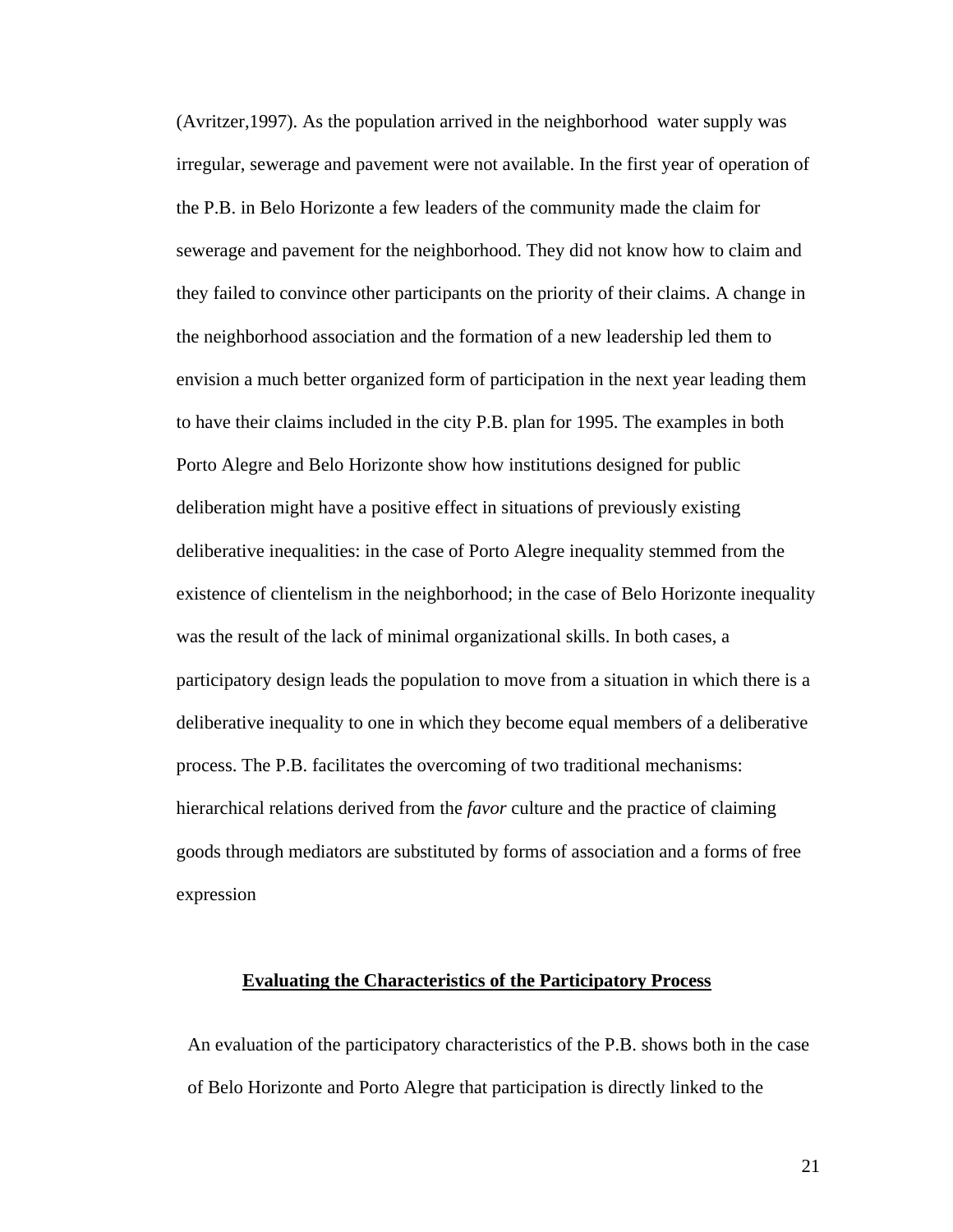(Avritzer,1997). As the population arrived in the neighborhood water supply was irregular, sewerage and pavement were not available. In the first year of operation of the P.B. in Belo Horizonte a few leaders of the community made the claim for sewerage and pavement for the neighborhood. They did not know how to claim and they failed to convince other participants on the priority of their claims. A change in the neighborhood association and the formation of a new leadership led them to envision a much better organized form of participation in the next year leading them to have their claims included in the city P.B. plan for 1995. The examples in both Porto Alegre and Belo Horizonte show how institutions designed for public deliberation might have a positive effect in situations of previously existing deliberative inequalities: in the case of Porto Alegre inequality stemmed from the existence of clientelism in the neighborhood; in the case of Belo Horizonte inequality was the result of the lack of minimal organizational skills. In both cases, a participatory design leads the population to move from a situation in which there is a deliberative inequality to one in which they become equal members of a deliberative process. The P.B. facilitates the overcoming of two traditional mechanisms: hierarchical relations derived from the *favor* culture and the practice of claiming goods through mediators are substituted by forms of association and a forms of free expression

# **Evaluating the Characteristics of the Participatory Process**

An evaluation of the participatory characteristics of the P.B. shows both in the case of Belo Horizonte and Porto Alegre that participation is directly linked to the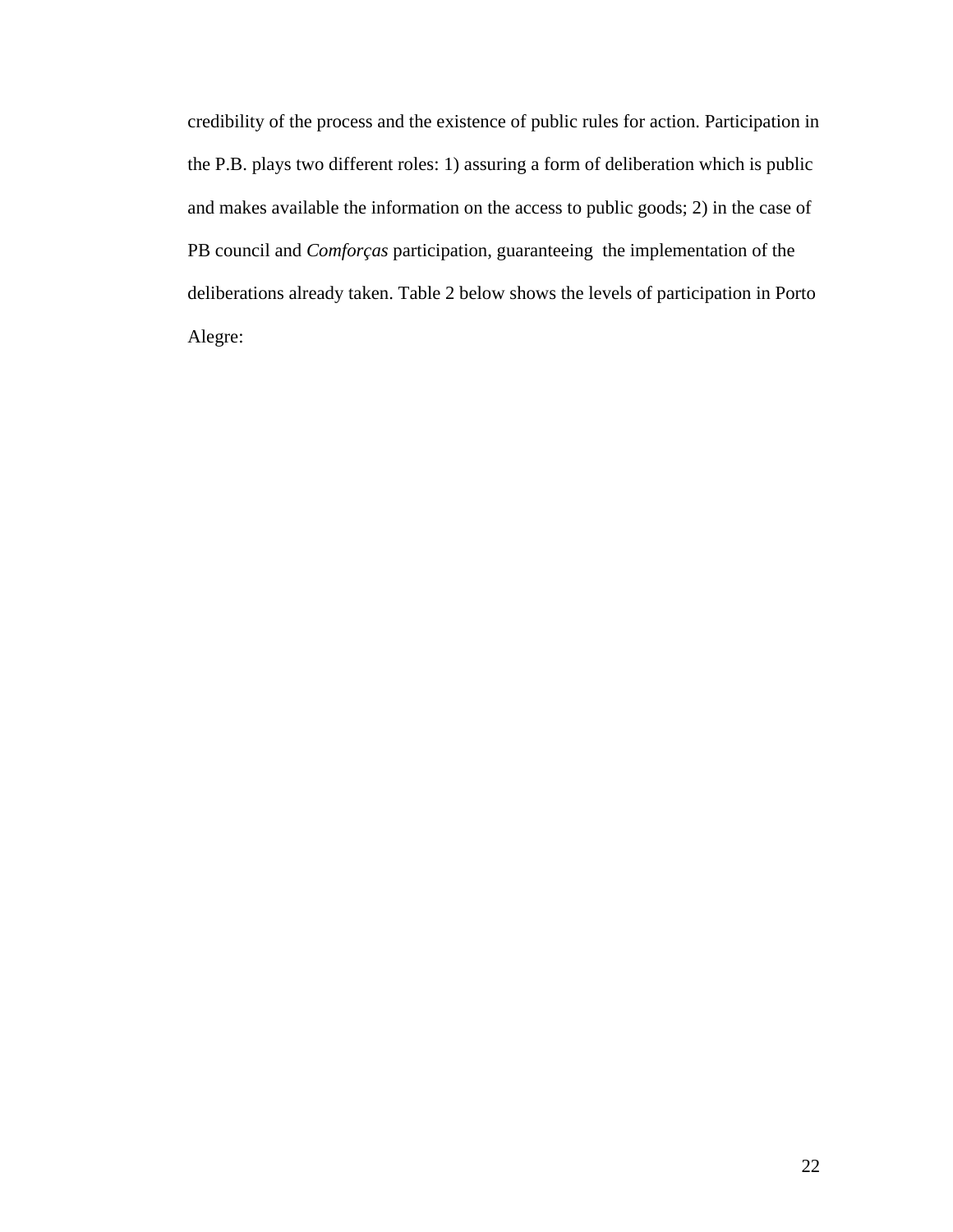credibility of the process and the existence of public rules for action. Participation in the P.B. plays two different roles: 1) assuring a form of deliberation which is public and makes available the information on the access to public goods; 2) in the case of PB council and *Comforças* participation, guaranteeing the implementation of the deliberations already taken. Table 2 below shows the levels of participation in Porto Alegre: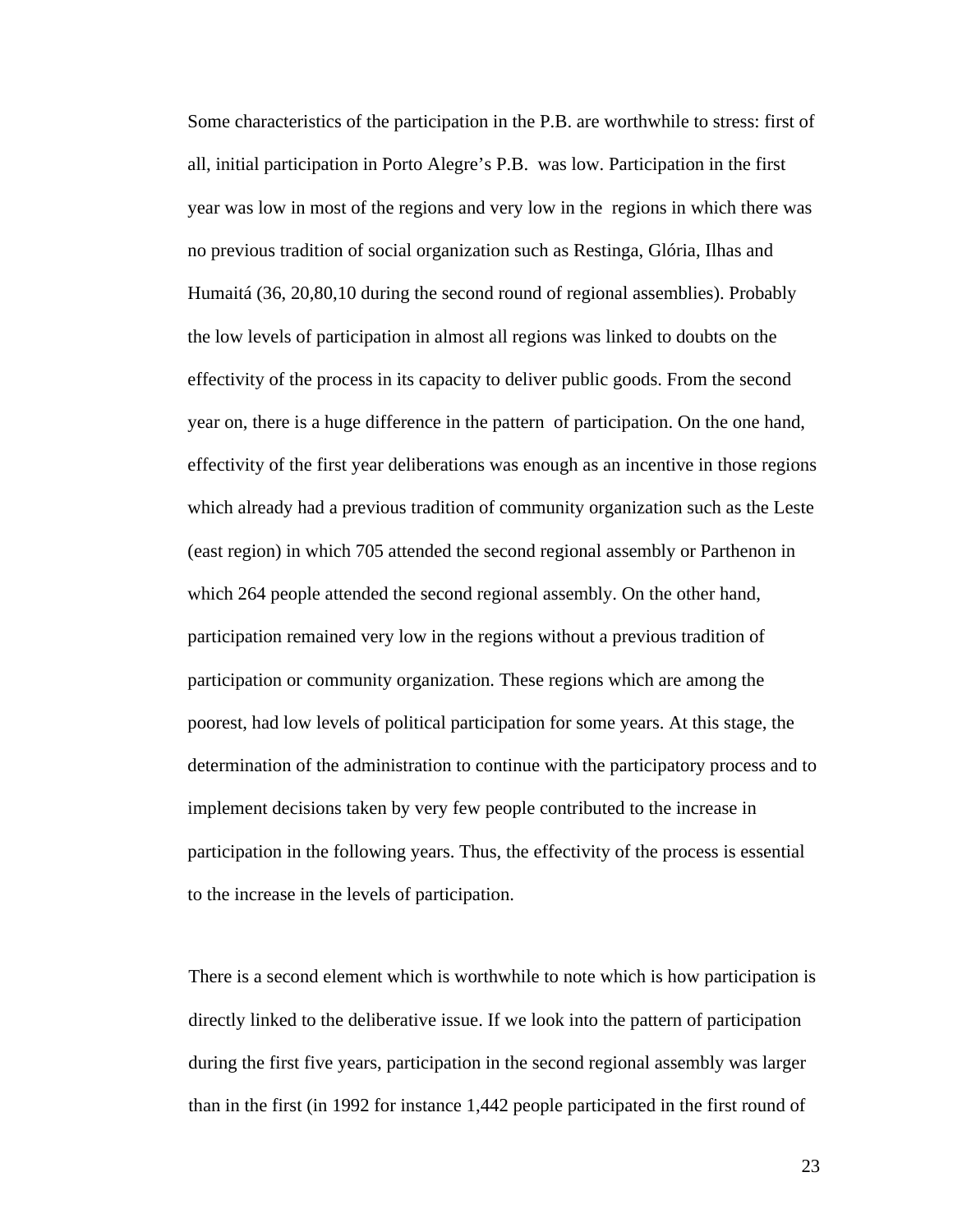Some characteristics of the participation in the P.B. are worthwhile to stress: first of all, initial participation in Porto Alegre's P.B. was low. Participation in the first year was low in most of the regions and very low in the regions in which there was no previous tradition of social organization such as Restinga, Glória, Ilhas and Humaitá (36, 20,80,10 during the second round of regional assemblies). Probably the low levels of participation in almost all regions was linked to doubts on the effectivity of the process in its capacity to deliver public goods. From the second year on, there is a huge difference in the pattern of participation. On the one hand, effectivity of the first year deliberations was enough as an incentive in those regions which already had a previous tradition of community organization such as the Leste (east region) in which 705 attended the second regional assembly or Parthenon in which 264 people attended the second regional assembly. On the other hand, participation remained very low in the regions without a previous tradition of participation or community organization. These regions which are among the poorest, had low levels of political participation for some years. At this stage, the determination of the administration to continue with the participatory process and to implement decisions taken by very few people contributed to the increase in participation in the following years. Thus, the effectivity of the process is essential to the increase in the levels of participation.

There is a second element which is worthwhile to note which is how participation is directly linked to the deliberative issue. If we look into the pattern of participation during the first five years, participation in the second regional assembly was larger than in the first (in 1992 for instance 1,442 people participated in the first round of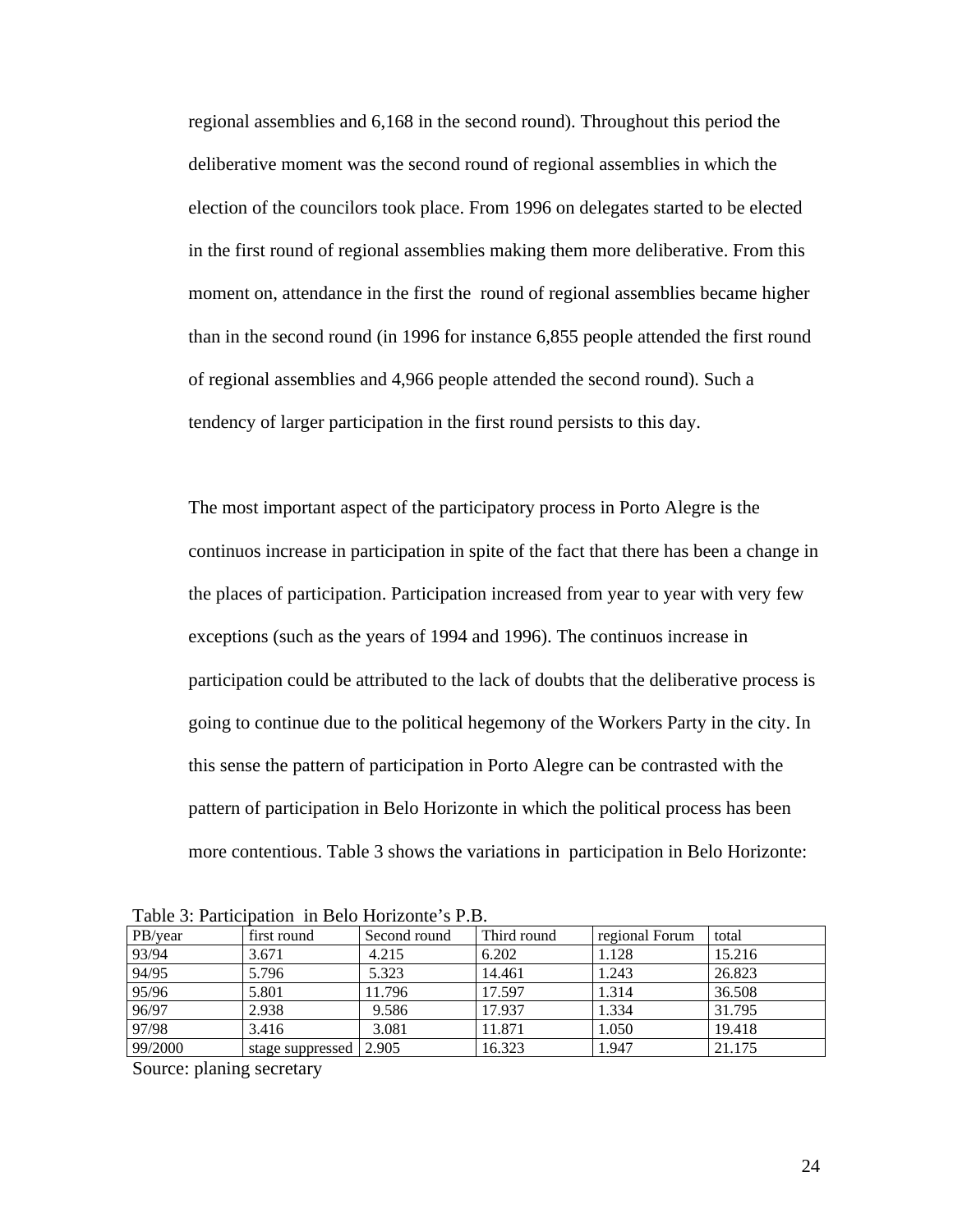regional assemblies and 6,168 in the second round). Throughout this period the deliberative moment was the second round of regional assemblies in which the election of the councilors took place. From 1996 on delegates started to be elected in the first round of regional assemblies making them more deliberative. From this moment on, attendance in the first the round of regional assemblies became higher than in the second round (in 1996 for instance 6,855 people attended the first round of regional assemblies and 4,966 people attended the second round). Such a tendency of larger participation in the first round persists to this day.

The most important aspect of the participatory process in Porto Alegre is the continuos increase in participation in spite of the fact that there has been a change in the places of participation. Participation increased from year to year with very few exceptions (such as the years of 1994 and 1996). The continuos increase in participation could be attributed to the lack of doubts that the deliberative process is going to continue due to the political hegemony of the Workers Party in the city. In this sense the pattern of participation in Porto Alegre can be contrasted with the pattern of participation in Belo Horizonte in which the political process has been more contentious. Table 3 shows the variations in participation in Belo Horizonte:

| Table 5. Faithcloation in Belo Horizonic S.F.D. |                  |              |             |                |        |
|-------------------------------------------------|------------------|--------------|-------------|----------------|--------|
| PB/year                                         | first round      | Second round | Third round | regional Forum | total  |
| 93/94                                           | 3.671            | 4.215        | 6.202       | 1.128          | 15.216 |
| 94/95                                           | 5.796            | 5.323        | 14.461      | 1.243          | 26.823 |
| 95/96                                           | 5.801            | 11.796       | 17.597      | 1.314          | 36.508 |
| 96/97                                           | 2.938            | 9.586        | 17.937      | 1.334          | 31.795 |
| 97/98                                           | 3.416            | 3.081        | 11.871      | 1.050          | 19.418 |
| 99/2000                                         | stage suppressed | 2.905        | 16.323      | 1.947          | 21.175 |

Table 3: Participation in Belo Horizonte's P.B.

Source: planing secretary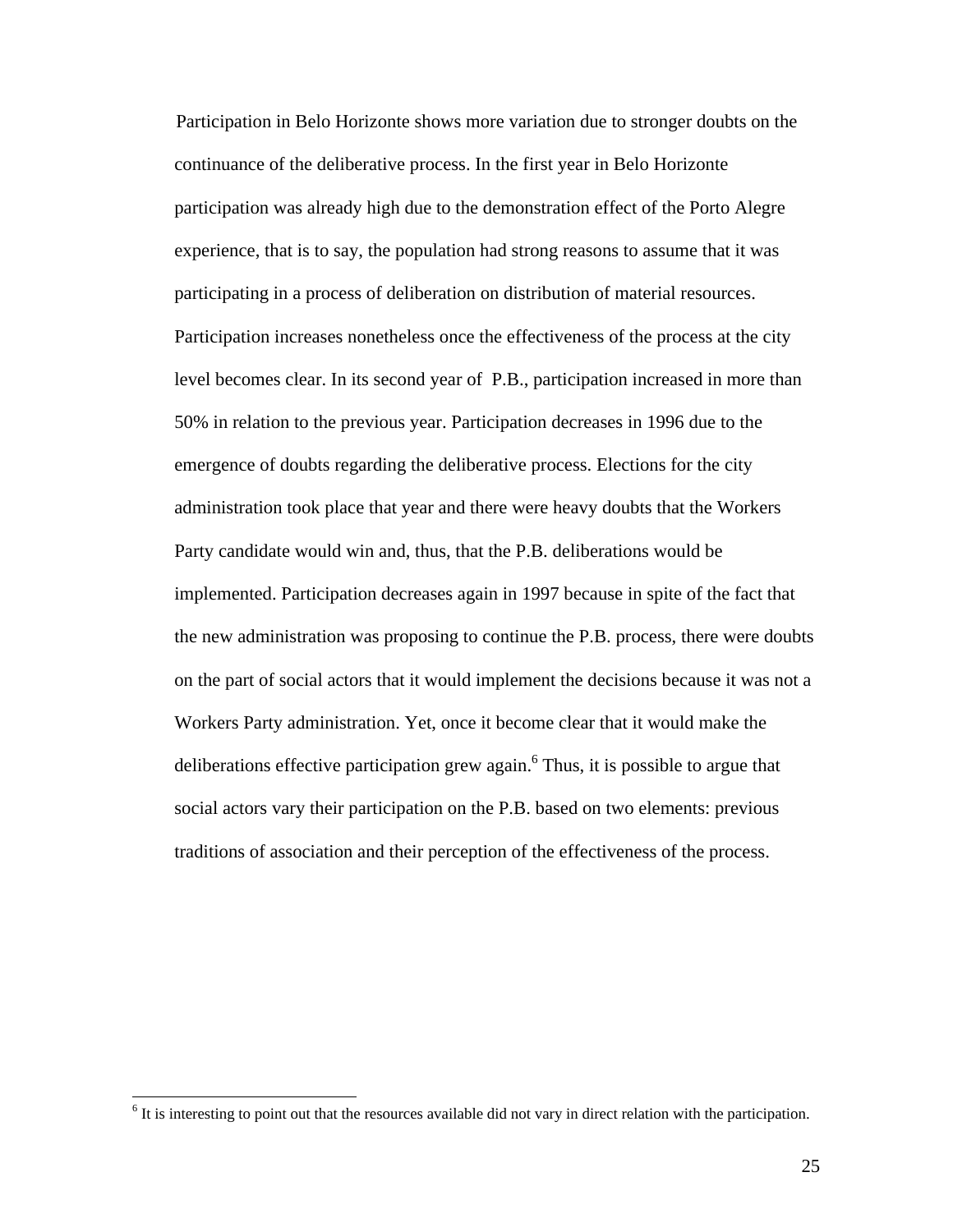Participation in Belo Horizonte shows more variation due to stronger doubts on the continuance of the deliberative process. In the first year in Belo Horizonte participation was already high due to the demonstration effect of the Porto Alegre experience, that is to say, the population had strong reasons to assume that it was participating in a process of deliberation on distribution of material resources. Participation increases nonetheless once the effectiveness of the process at the city level becomes clear. In its second year of P.B., participation increased in more than 50% in relation to the previous year. Participation decreases in 1996 due to the emergence of doubts regarding the deliberative process. Elections for the city administration took place that year and there were heavy doubts that the Workers Party candidate would win and, thus, that the P.B. deliberations would be implemented. Participation decreases again in 1997 because in spite of the fact that the new administration was proposing to continue the P.B. process, there were doubts on the part of social actors that it would implement the decisions because it was not a Workers Party administration. Yet, once it become clear that it would make the deliberations effective participation grew again.<sup>6</sup> Thus, it is possible to argue that social actors vary their participation on the P.B. based on two elements: previous traditions of association and their perception of the effectiveness of the process.

 $<sup>6</sup>$  It is interesting to point out that the resources available did not vary in direct relation with the participation.</sup>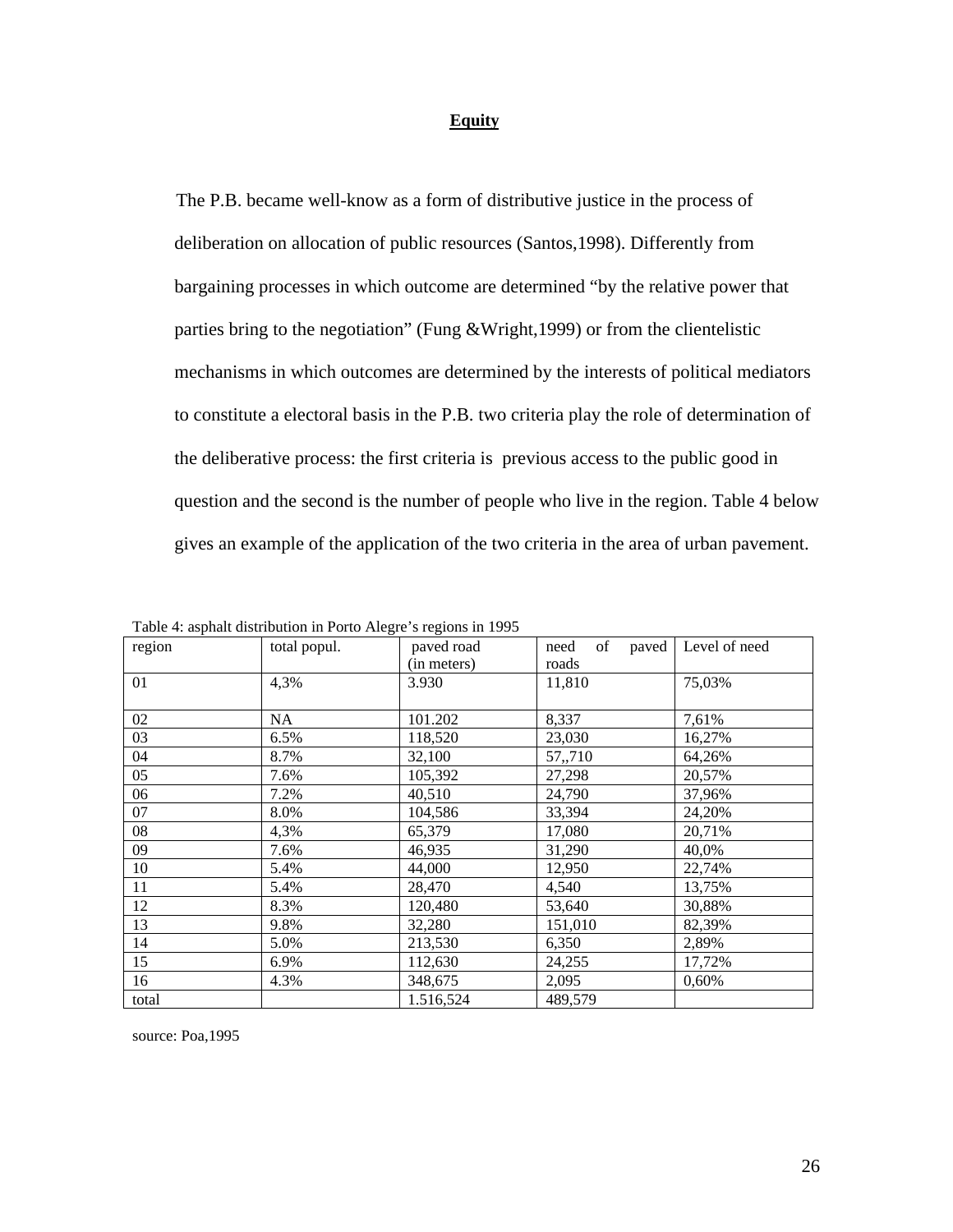# **Equity**

The P.B. became well-know as a form of distributive justice in the process of deliberation on allocation of public resources (Santos,1998). Differently from bargaining processes in which outcome are determined "by the relative power that parties bring to the negotiation" (Fung &Wright,1999) or from the clientelistic mechanisms in which outcomes are determined by the interests of political mediators to constitute a electoral basis in the P.B. two criteria play the role of determination of the deliberative process: the first criteria is previous access to the public good in question and the second is the number of people who live in the region. Table 4 below gives an example of the application of the two criteria in the area of urban pavement.

| region | total popul. | paved road  | paved<br>of<br>need | Level of need |
|--------|--------------|-------------|---------------------|---------------|
|        |              | (in meters) | roads               |               |
| 01     | 4,3%         | 3.930       | 11,810              | 75,03%        |
|        |              |             |                     |               |
| 02     | NA           | 101.202     | 8,337               | 7,61%         |
| 03     | 6.5%         | 118,520     | 23,030              | 16,27%        |
| 04     | 8.7%         | 32,100      | 57,,710             | 64,26%        |
| 05     | 7.6%         | 105,392     | 27,298              | 20,57%        |
| 06     | 7.2%         | 40,510      | 24,790              | 37,96%        |
| 07     | 8.0%         | 104,586     | 33,394              | 24,20%        |
| 08     | 4,3%         | 65,379      | 17,080              | 20,71%        |
| 09     | 7.6%         | 46,935      | 31,290              | 40,0%         |
| 10     | 5.4%         | 44,000      | 12,950              | 22,74%        |
| 11     | 5.4%         | 28,470      | 4,540               | 13,75%        |
| 12     | 8.3%         | 120,480     | 53,640              | 30,88%        |
| 13     | 9.8%         | 32,280      | 151,010             | 82,39%        |
| 14     | 5.0%         | 213,530     | 6,350               | 2,89%         |
| 15     | 6.9%         | 112,630     | 24,255              | 17,72%        |
| 16     | 4.3%         | 348,675     | 2,095               | 0,60%         |
| total  |              | 1.516,524   | 489,579             |               |

| Table 4: asphalt distribution in Porto Alegre's regions in 1995 |  |  |
|-----------------------------------------------------------------|--|--|
|-----------------------------------------------------------------|--|--|

source: Poa,1995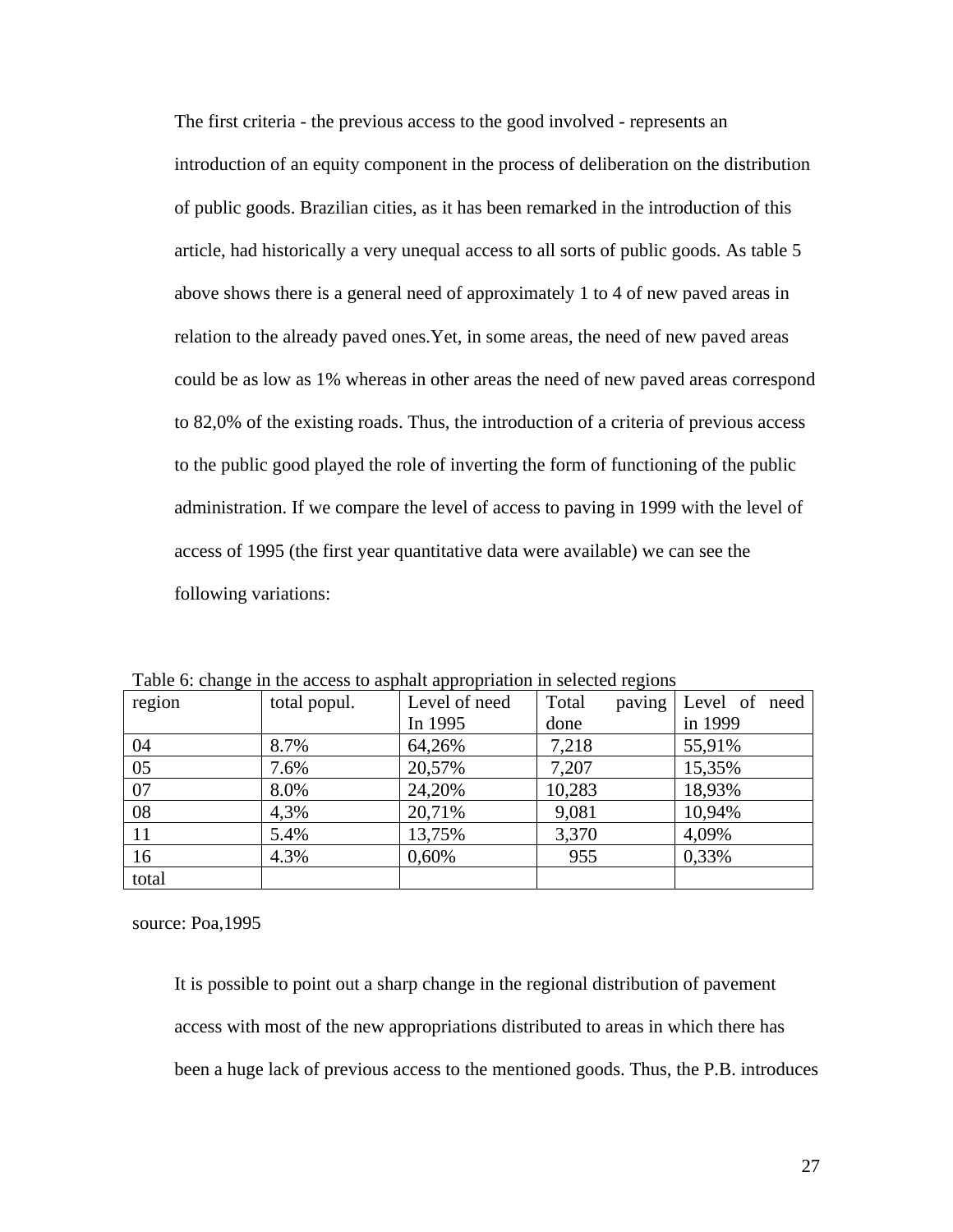The first criteria - the previous access to the good involved - represents an introduction of an equity component in the process of deliberation on the distribution of public goods. Brazilian cities, as it has been remarked in the introduction of this article, had historically a very unequal access to all sorts of public goods. As table 5 above shows there is a general need of approximately 1 to 4 of new paved areas in relation to the already paved ones.Yet, in some areas, the need of new paved areas could be as low as 1% whereas in other areas the need of new paved areas correspond to 82,0% of the existing roads. Thus, the introduction of a criteria of previous access to the public good played the role of inverting the form of functioning of the public administration. If we compare the level of access to paving in 1999 with the level of access of 1995 (the first year quantitative data were available) we can see the following variations:

| region        | total popul. | Level of need | Total<br>paving | Level of need |
|---------------|--------------|---------------|-----------------|---------------|
|               |              | In 1995       | done            | in 1999       |
| 04            | 8.7%         | 64,26%        | 7,218           | 55,91%        |
| 05            | 7.6%         | 20,57%        | 7,207           | 15,35%        |
| 07            | 8.0%         | 24,20%        | 10,283          | 18,93%        |
| 08            | 4,3%         | 20,71%        | 9,081           | 10,94%        |
| <sup>11</sup> | 5.4%         | 13,75%        | 3,370           | 4,09%         |
| 16            | 4.3%         | 0,60%         | 955             | 0,33%         |
| total         |              |               |                 |               |

Table 6: change in the access to asphalt appropriation in selected regions

source: Poa,1995

It is possible to point out a sharp change in the regional distribution of pavement access with most of the new appropriations distributed to areas in which there has been a huge lack of previous access to the mentioned goods. Thus, the P.B. introduces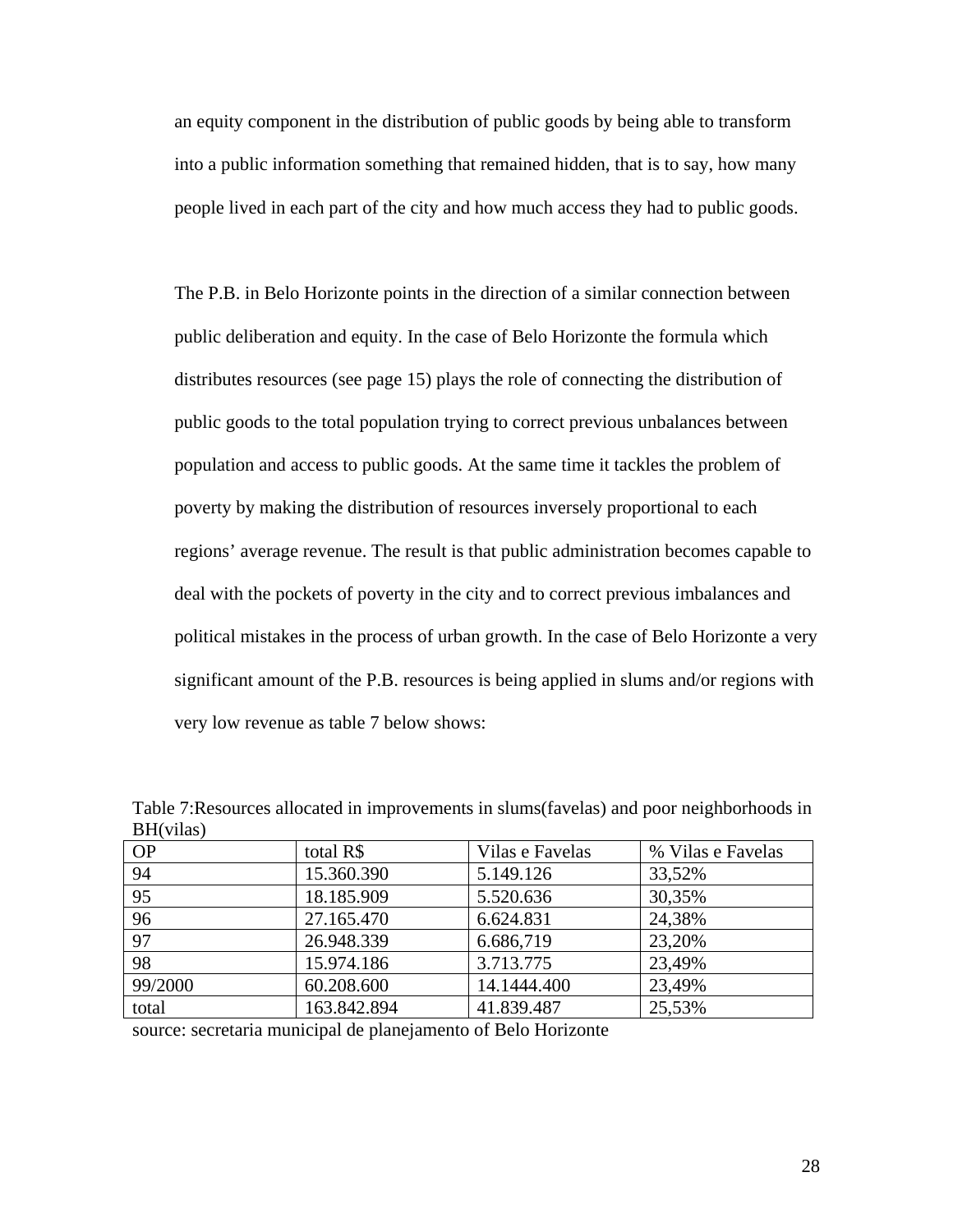an equity component in the distribution of public goods by being able to transform into a public information something that remained hidden, that is to say, how many people lived in each part of the city and how much access they had to public goods.

The P.B. in Belo Horizonte points in the direction of a similar connection between public deliberation and equity. In the case of Belo Horizonte the formula which distributes resources (see page 15) plays the role of connecting the distribution of public goods to the total population trying to correct previous unbalances between population and access to public goods. At the same time it tackles the problem of poverty by making the distribution of resources inversely proportional to each regions' average revenue. The result is that public administration becomes capable to deal with the pockets of poverty in the city and to correct previous imbalances and political mistakes in the process of urban growth. In the case of Belo Horizonte a very significant amount of the P.B. resources is being applied in slums and/or regions with very low revenue as table 7 below shows:

| total R\$   | Vilas e Favelas | % Vilas e Favelas |
|-------------|-----------------|-------------------|
| 15.360.390  | 5.149.126       | 33,52%            |
| 18.185.909  | 5.520.636       | 30,35%            |
| 27.165.470  | 6.624.831       | 24,38%            |
| 26.948.339  | 6.686,719       | 23,20%            |
| 15.974.186  | 3.713.775       | 23,49%            |
| 60.208.600  | 14.1444.400     | 23,49%            |
| 163.842.894 | 41.839.487      | 25,53%            |
|             |                 |                   |

Table 7:Resources allocated in improvements in slums(favelas) and poor neighborhoods in BH(vilas)

source: secretaria municipal de planejamento of Belo Horizonte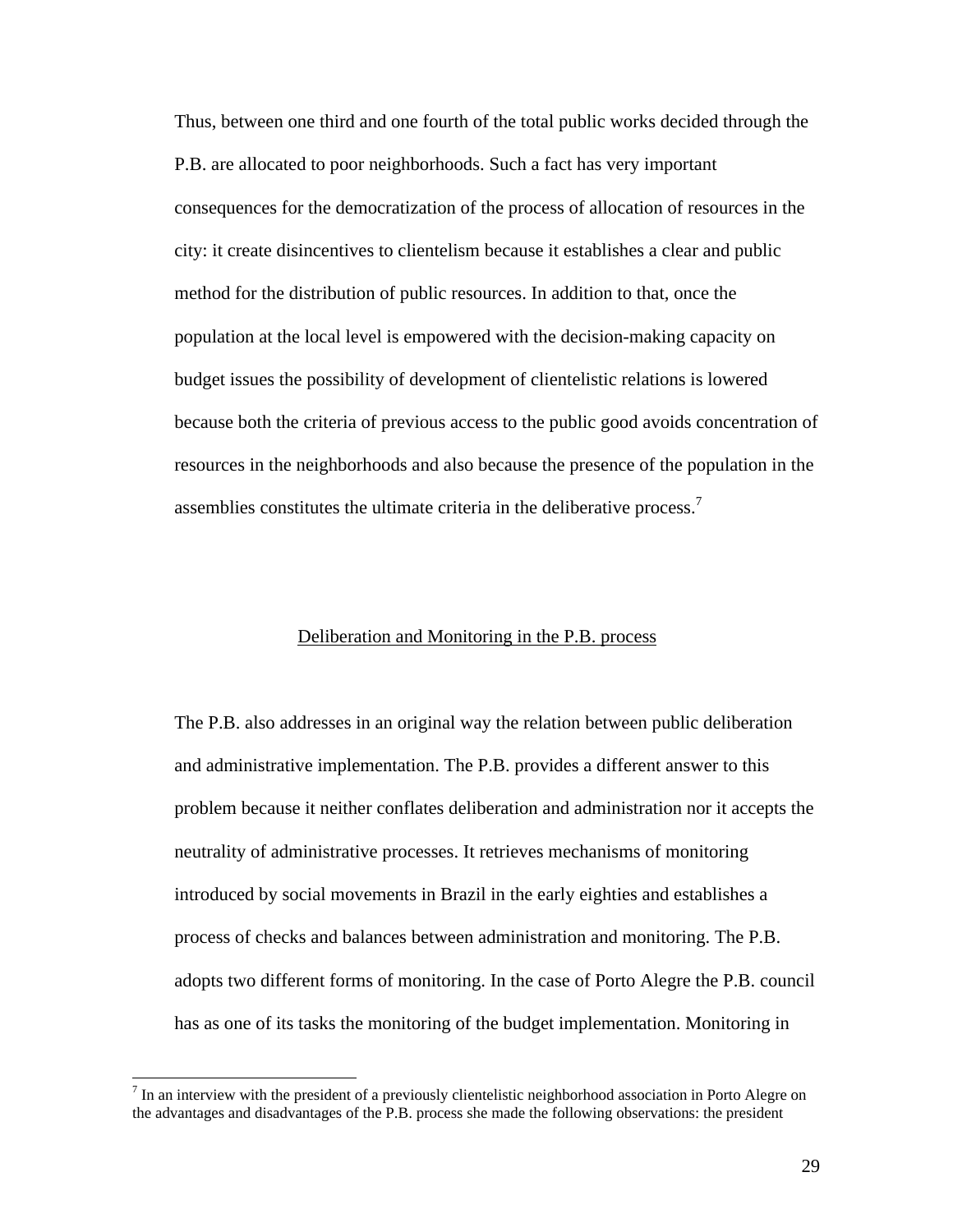Thus, between one third and one fourth of the total public works decided through the P.B. are allocated to poor neighborhoods. Such a fact has very important consequences for the democratization of the process of allocation of resources in the city: it create disincentives to clientelism because it establishes a clear and public method for the distribution of public resources. In addition to that, once the population at the local level is empowered with the decision-making capacity on budget issues the possibility of development of clientelistic relations is lowered because both the criteria of previous access to the public good avoids concentration of resources in the neighborhoods and also because the presence of the population in the assemblies constitutes the ultimate criteria in the deliberative process.<sup>7</sup>

### Deliberation and Monitoring in the P.B. process

The P.B. also addresses in an original way the relation between public deliberation and administrative implementation. The P.B. provides a different answer to this problem because it neither conflates deliberation and administration nor it accepts the neutrality of administrative processes. It retrieves mechanisms of monitoring introduced by social movements in Brazil in the early eighties and establishes a process of checks and balances between administration and monitoring. The P.B. adopts two different forms of monitoring. In the case of Porto Alegre the P.B. council has as one of its tasks the monitoring of the budget implementation. Monitoring in

 $<sup>7</sup>$  In an interview with the president of a previously clientelistic neighborhood association in Porto Alegre on</sup> the advantages and disadvantages of the P.B. process she made the following observations: the president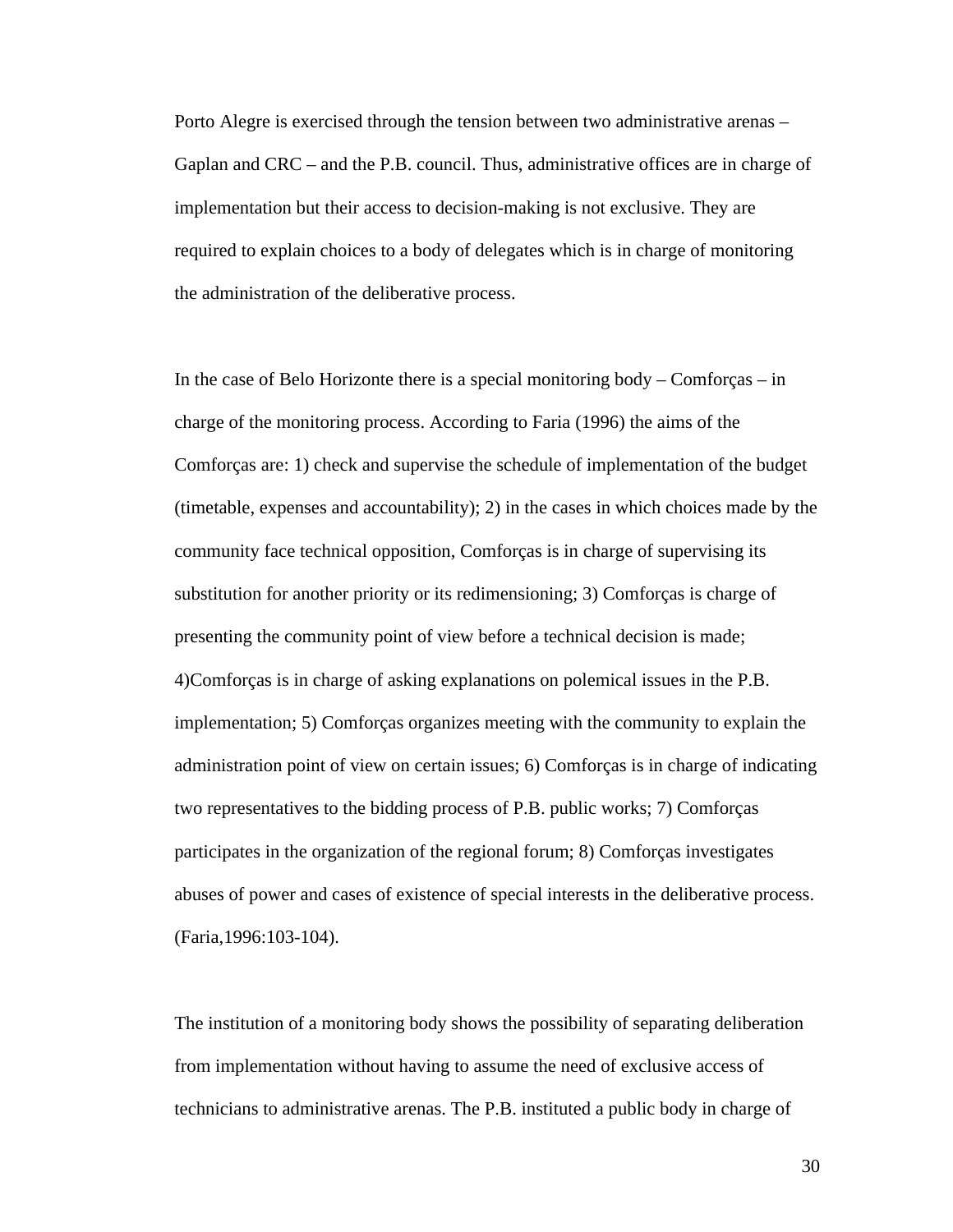Porto Alegre is exercised through the tension between two administrative arenas – Gaplan and CRC – and the P.B. council. Thus, administrative offices are in charge of implementation but their access to decision-making is not exclusive. They are required to explain choices to a body of delegates which is in charge of monitoring the administration of the deliberative process.

In the case of Belo Horizonte there is a special monitoring body – Comforças – in charge of the monitoring process. According to Faria (1996) the aims of the Comforças are: 1) check and supervise the schedule of implementation of the budget (timetable, expenses and accountability); 2) in the cases in which choices made by the community face technical opposition, Comforças is in charge of supervising its substitution for another priority or its redimensioning; 3) Comforças is charge of presenting the community point of view before a technical decision is made; 4)Comforças is in charge of asking explanations on polemical issues in the P.B. implementation; 5) Comforças organizes meeting with the community to explain the administration point of view on certain issues; 6) Comforças is in charge of indicating two representatives to the bidding process of P.B. public works; 7) Comforças participates in the organization of the regional forum; 8) Comforças investigates abuses of power and cases of existence of special interests in the deliberative process. (Faria,1996:103-104).

The institution of a monitoring body shows the possibility of separating deliberation from implementation without having to assume the need of exclusive access of technicians to administrative arenas. The P.B. instituted a public body in charge of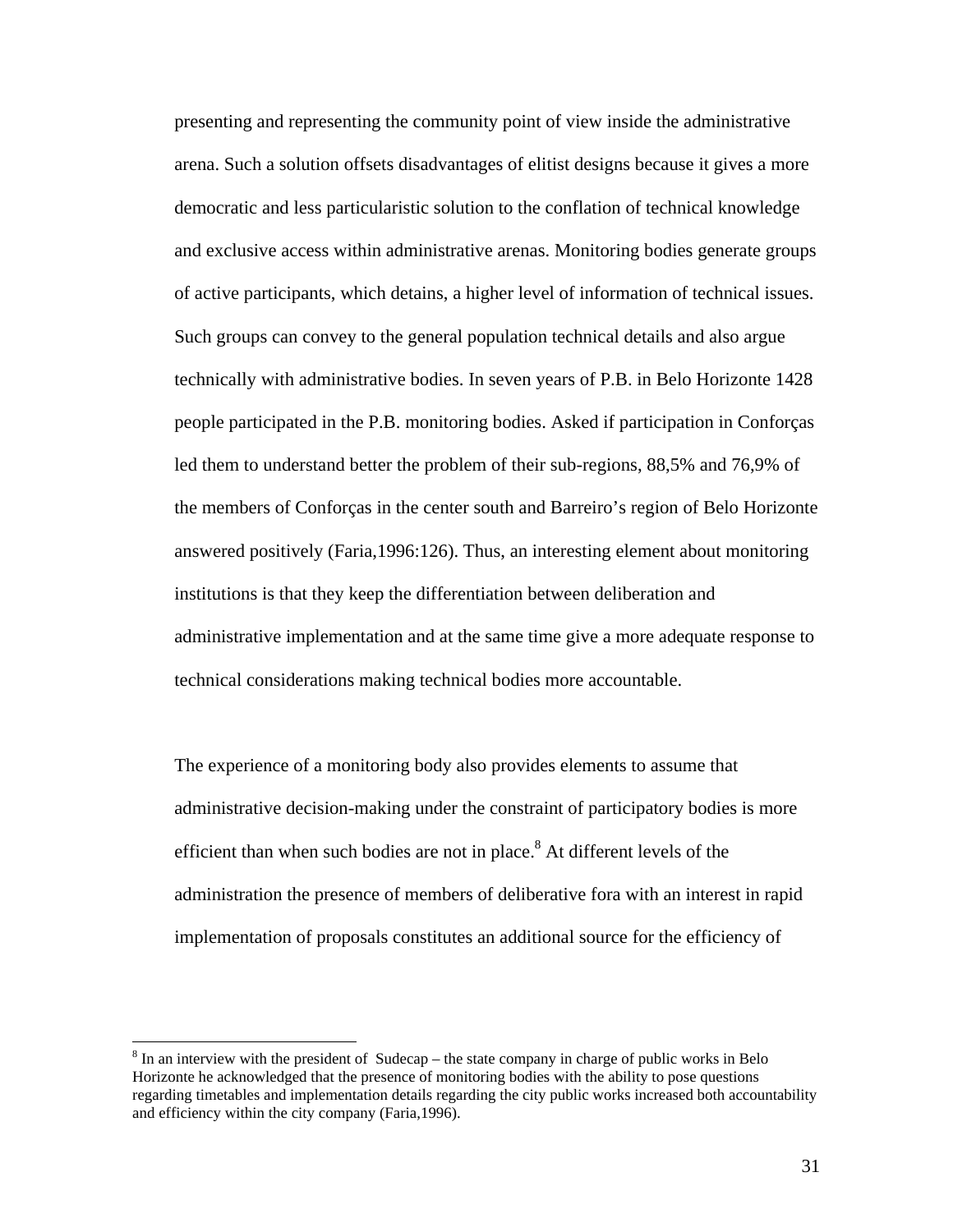presenting and representing the community point of view inside the administrative arena. Such a solution offsets disadvantages of elitist designs because it gives a more democratic and less particularistic solution to the conflation of technical knowledge and exclusive access within administrative arenas. Monitoring bodies generate groups of active participants, which detains, a higher level of information of technical issues. Such groups can convey to the general population technical details and also argue technically with administrative bodies. In seven years of P.B. in Belo Horizonte 1428 people participated in the P.B. monitoring bodies. Asked if participation in Conforças led them to understand better the problem of their sub-regions, 88,5% and 76,9% of the members of Conforças in the center south and Barreiro's region of Belo Horizonte answered positively (Faria,1996:126). Thus, an interesting element about monitoring institutions is that they keep the differentiation between deliberation and administrative implementation and at the same time give a more adequate response to technical considerations making technical bodies more accountable.

The experience of a monitoring body also provides elements to assume that administrative decision-making under the constraint of participatory bodies is more efficient than when such bodies are not in place. $8$  At different levels of the administration the presence of members of deliberative fora with an interest in rapid implementation of proposals constitutes an additional source for the efficiency of

 $8 \text{ In an interview with the president of Sudecap - the state company in charge of public works in Belo.}$ Horizonte he acknowledged that the presence of monitoring bodies with the ability to pose questions regarding timetables and implementation details regarding the city public works increased both accountability and efficiency within the city company (Faria,1996).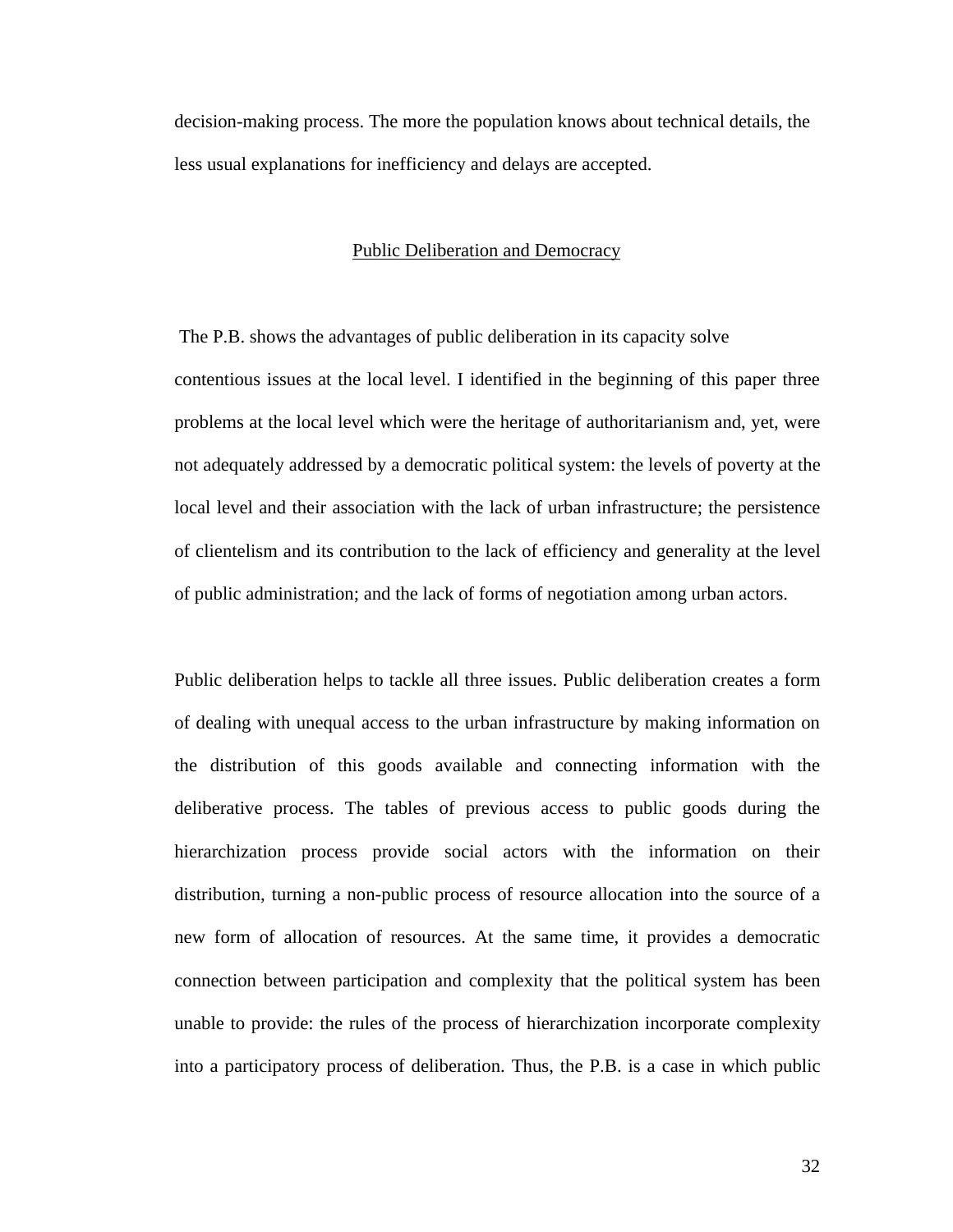decision-making process. The more the population knows about technical details, the less usual explanations for inefficiency and delays are accepted.

### Public Deliberation and Democracy

 The P.B. shows the advantages of public deliberation in its capacity solve contentious issues at the local level. I identified in the beginning of this paper three problems at the local level which were the heritage of authoritarianism and, yet, were not adequately addressed by a democratic political system: the levels of poverty at the local level and their association with the lack of urban infrastructure; the persistence of clientelism and its contribution to the lack of efficiency and generality at the level of public administration; and the lack of forms of negotiation among urban actors.

Public deliberation helps to tackle all three issues. Public deliberation creates a form of dealing with unequal access to the urban infrastructure by making information on the distribution of this goods available and connecting information with the deliberative process. The tables of previous access to public goods during the hierarchization process provide social actors with the information on their distribution, turning a non-public process of resource allocation into the source of a new form of allocation of resources. At the same time, it provides a democratic connection between participation and complexity that the political system has been unable to provide: the rules of the process of hierarchization incorporate complexity into a participatory process of deliberation. Thus, the P.B. is a case in which public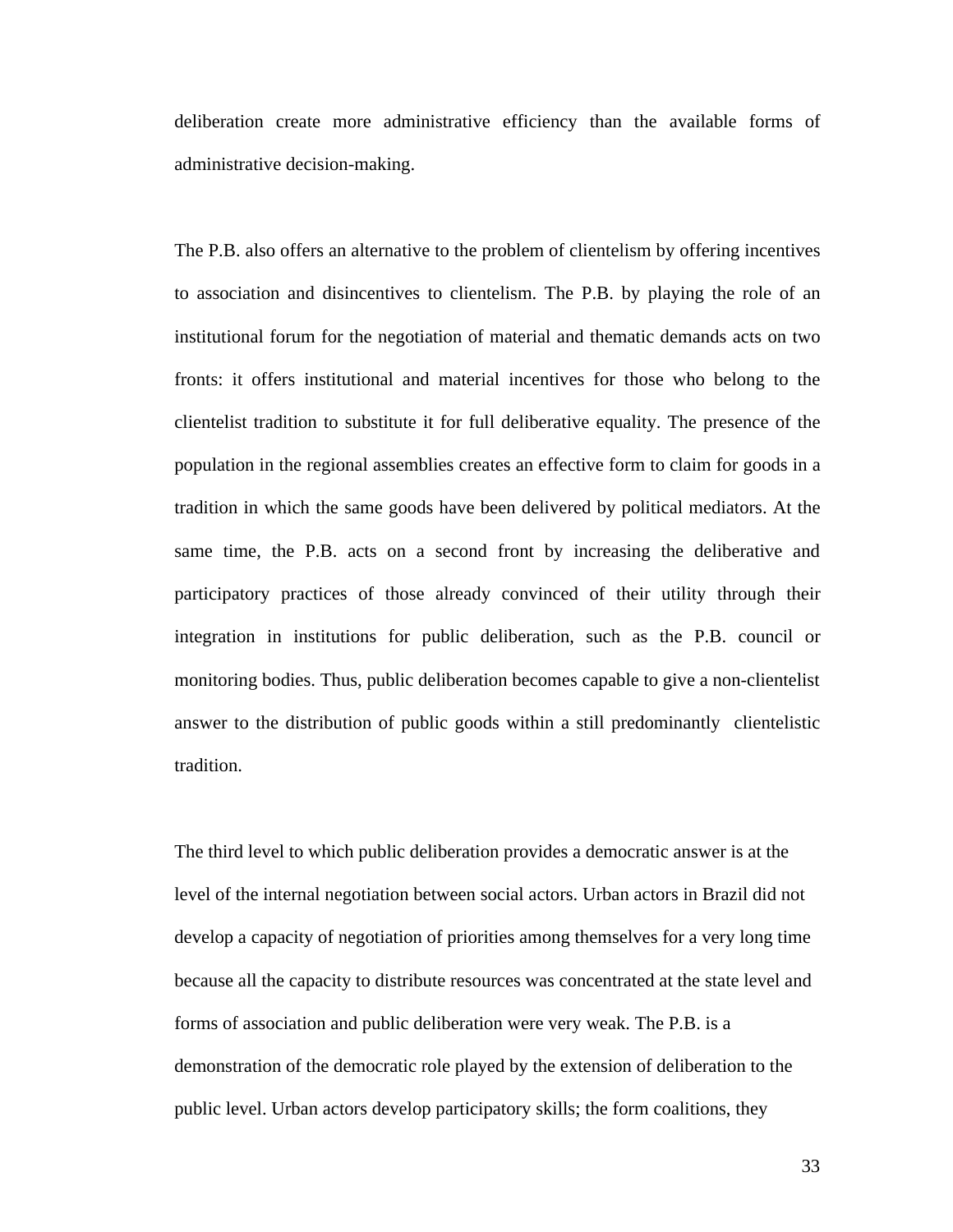deliberation create more administrative efficiency than the available forms of administrative decision-making.

The P.B. also offers an alternative to the problem of clientelism by offering incentives to association and disincentives to clientelism. The P.B. by playing the role of an institutional forum for the negotiation of material and thematic demands acts on two fronts: it offers institutional and material incentives for those who belong to the clientelist tradition to substitute it for full deliberative equality. The presence of the population in the regional assemblies creates an effective form to claim for goods in a tradition in which the same goods have been delivered by political mediators. At the same time, the P.B. acts on a second front by increasing the deliberative and participatory practices of those already convinced of their utility through their integration in institutions for public deliberation, such as the P.B. council or monitoring bodies. Thus, public deliberation becomes capable to give a non-clientelist answer to the distribution of public goods within a still predominantly clientelistic tradition.

The third level to which public deliberation provides a democratic answer is at the level of the internal negotiation between social actors. Urban actors in Brazil did not develop a capacity of negotiation of priorities among themselves for a very long time because all the capacity to distribute resources was concentrated at the state level and forms of association and public deliberation were very weak. The P.B. is a demonstration of the democratic role played by the extension of deliberation to the public level. Urban actors develop participatory skills; the form coalitions, they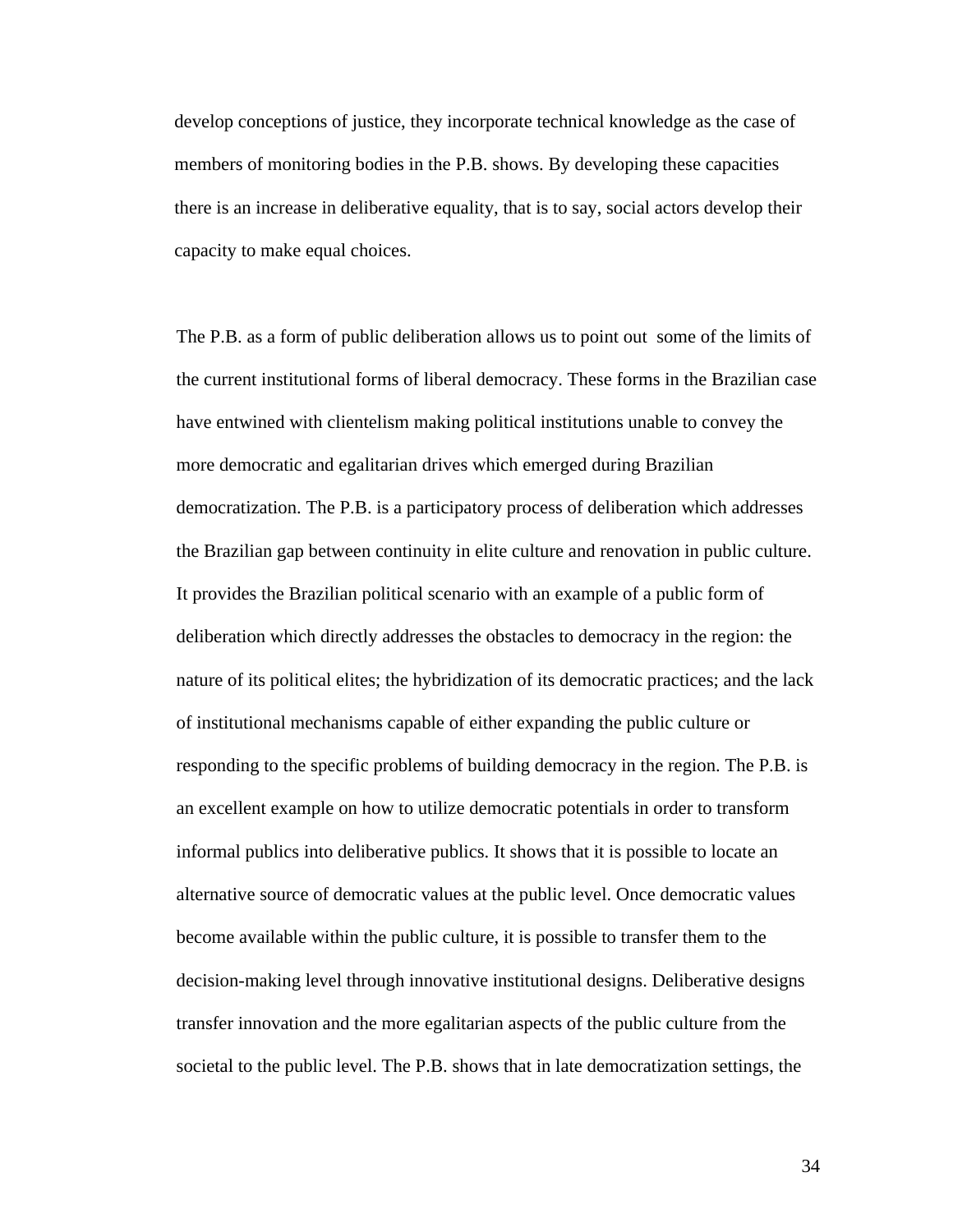develop conceptions of justice, they incorporate technical knowledge as the case of members of monitoring bodies in the P.B. shows. By developing these capacities there is an increase in deliberative equality, that is to say, social actors develop their capacity to make equal choices.

The P.B. as a form of public deliberation allows us to point out some of the limits of the current institutional forms of liberal democracy. These forms in the Brazilian case have entwined with clientelism making political institutions unable to convey the more democratic and egalitarian drives which emerged during Brazilian democratization. The P.B. is a participatory process of deliberation which addresses the Brazilian gap between continuity in elite culture and renovation in public culture. It provides the Brazilian political scenario with an example of a public form of deliberation which directly addresses the obstacles to democracy in the region: the nature of its political elites; the hybridization of its democratic practices; and the lack of institutional mechanisms capable of either expanding the public culture or responding to the specific problems of building democracy in the region. The P.B. is an excellent example on how to utilize democratic potentials in order to transform informal publics into deliberative publics. It shows that it is possible to locate an alternative source of democratic values at the public level. Once democratic values become available within the public culture, it is possible to transfer them to the decision-making level through innovative institutional designs. Deliberative designs transfer innovation and the more egalitarian aspects of the public culture from the societal to the public level. The P.B. shows that in late democratization settings, the